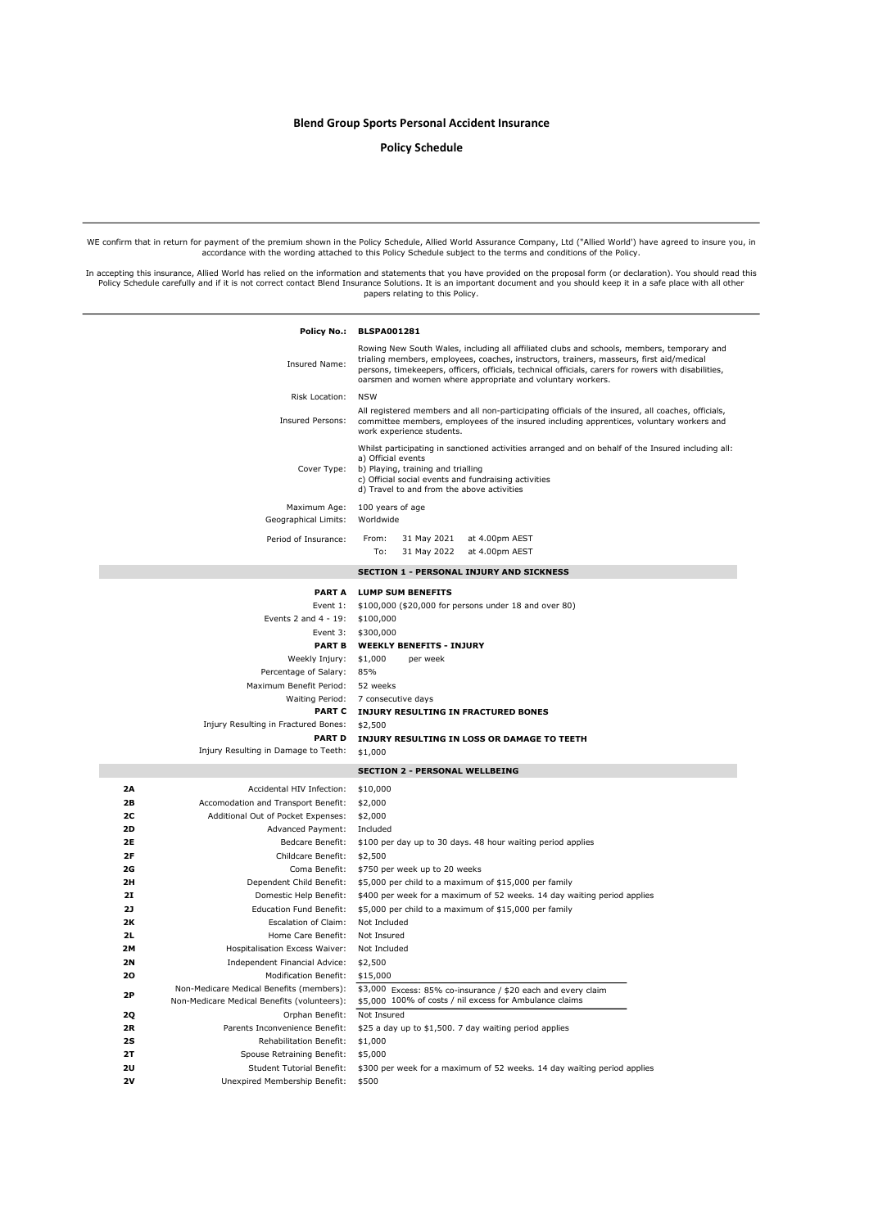## Blend Group Sports Personal Accident Insurance

#### Policy Schedule

WE confirm that in return for payment of the premium shown in the Policy Schedule, Allied World Assurance Company, Ltd ("Allied World') have agreed to insure you, in accordance with the wording attached to this Policy Schedule subject to the terms and conditions of the Policy.

In accepting this insurance, Allied World has relied on the information and statements that you have provided on the proposal form (or declaration). You should read this<br>Policy Schedule carefully and if it is not correct c

|           |                                                                                         | Policy No.: BLSPA001281                                                                                                                                                                                                                                                                                                                                      |
|-----------|-----------------------------------------------------------------------------------------|--------------------------------------------------------------------------------------------------------------------------------------------------------------------------------------------------------------------------------------------------------------------------------------------------------------------------------------------------------------|
|           | Insured Name:                                                                           | Rowing New South Wales, including all affiliated clubs and schools, members, temporary and<br>trialing members, employees, coaches, instructors, trainers, masseurs, first aid/medical<br>persons, timekeepers, officers, officials, technical officials, carers for rowers with disabilities,<br>oarsmen and women where appropriate and voluntary workers. |
|           | Risk Location:                                                                          | <b>NSW</b>                                                                                                                                                                                                                                                                                                                                                   |
|           | Insured Persons:                                                                        | All registered members and all non-participating officials of the insured, all coaches, officials,<br>committee members, employees of the insured including apprentices, voluntary workers and<br>work experience students.                                                                                                                                  |
|           | Cover Type:                                                                             | Whilst participating in sanctioned activities arranged and on behalf of the Insured including all:<br>a) Official events<br>b) Playing, training and trialling<br>c) Official social events and fundraising activities<br>d) Travel to and from the above activities                                                                                         |
|           | Maximum Age:<br>Geographical Limits:                                                    | 100 years of age<br>Worldwide                                                                                                                                                                                                                                                                                                                                |
|           | Period of Insurance:                                                                    | From:<br>31 May 2021<br>at 4.00pm AEST<br>To:<br>31 May 2022 at 4.00pm AEST                                                                                                                                                                                                                                                                                  |
|           |                                                                                         |                                                                                                                                                                                                                                                                                                                                                              |
|           |                                                                                         | <b>SECTION 1 - PERSONAL INJURY AND SICKNESS</b>                                                                                                                                                                                                                                                                                                              |
|           |                                                                                         | PART A LUMP SUM BENEFITS                                                                                                                                                                                                                                                                                                                                     |
|           | Event 1:                                                                                | \$100,000 (\$20,000 for persons under 18 and over 80)                                                                                                                                                                                                                                                                                                        |
|           | Events 2 and $4 - 19$ :                                                                 | \$100,000                                                                                                                                                                                                                                                                                                                                                    |
|           | Event 3:                                                                                | \$300,000<br>PART B WEEKLY BENEFITS - INJURY                                                                                                                                                                                                                                                                                                                 |
|           | Weekly Injury:                                                                          | \$1,000<br>per week                                                                                                                                                                                                                                                                                                                                          |
|           | Percentage of Salary: 85%                                                               |                                                                                                                                                                                                                                                                                                                                                              |
|           | Maximum Benefit Period:                                                                 | 52 weeks                                                                                                                                                                                                                                                                                                                                                     |
|           |                                                                                         | Waiting Period: 7 consecutive days                                                                                                                                                                                                                                                                                                                           |
|           |                                                                                         | PART C INJURY RESULTING IN FRACTURED BONES                                                                                                                                                                                                                                                                                                                   |
|           | Injury Resulting in Fractured Bones:                                                    | \$2,500                                                                                                                                                                                                                                                                                                                                                      |
|           | <b>PART D</b>                                                                           | INJURY RESULTING IN LOSS OR DAMAGE TO TEETH                                                                                                                                                                                                                                                                                                                  |
|           | Injury Resulting in Damage to Teeth:                                                    | \$1,000                                                                                                                                                                                                                                                                                                                                                      |
|           |                                                                                         | <b>SECTION 2 - PERSONAL WELLBEING</b>                                                                                                                                                                                                                                                                                                                        |
| 2Α        | Accidental HIV Infection:                                                               | \$10,000                                                                                                                                                                                                                                                                                                                                                     |
| 2В        | Accomodation and Transport Benefit:                                                     | \$2,000                                                                                                                                                                                                                                                                                                                                                      |
| 2C        | Additional Out of Pocket Expenses:                                                      | \$2,000                                                                                                                                                                                                                                                                                                                                                      |
| 2D        | Advanced Payment:                                                                       | Included                                                                                                                                                                                                                                                                                                                                                     |
| 2E        | Bedcare Benefit:                                                                        | \$100 per day up to 30 days. 48 hour waiting period applies                                                                                                                                                                                                                                                                                                  |
| 2F        | Childcare Benefit:                                                                      | \$2,500                                                                                                                                                                                                                                                                                                                                                      |
| 2G        |                                                                                         | Coma Benefit: \$750 per week up to 20 weeks                                                                                                                                                                                                                                                                                                                  |
| 2H<br>21  | Dependent Child Benefit:<br>Domestic Help Benefit:                                      | \$5,000 per child to a maximum of \$15,000 per family<br>\$400 per week for a maximum of 52 weeks. 14 day waiting period applies                                                                                                                                                                                                                             |
| 2J        | <b>Education Fund Benefit:</b>                                                          | \$5,000 per child to a maximum of \$15,000 per family                                                                                                                                                                                                                                                                                                        |
| 2К        | Escalation of Claim:                                                                    | Not Included                                                                                                                                                                                                                                                                                                                                                 |
| 2L        | Home Care Benefit:                                                                      | Not Insured                                                                                                                                                                                                                                                                                                                                                  |
| 2M        | Hospitalisation Excess Waiver:                                                          | Not Included                                                                                                                                                                                                                                                                                                                                                 |
| <b>2N</b> | Independent Financial Advice:                                                           | \$2,500                                                                                                                                                                                                                                                                                                                                                      |
| 20        | <b>Modification Benefit:</b>                                                            | \$15,000                                                                                                                                                                                                                                                                                                                                                     |
| 2Р        | Non-Medicare Medical Benefits (members):<br>Non-Medicare Medical Benefits (volunteers): | \$3,000 Excess: 85% co-insurance / \$20 each and every claim<br>\$5,000 100% of costs / nil excess for Ambulance claims                                                                                                                                                                                                                                      |
| 2Q        | Orphan Benefit:                                                                         | Not Insured                                                                                                                                                                                                                                                                                                                                                  |
| 2R        | Parents Inconvenience Benefit:                                                          | \$25 a day up to \$1,500. 7 day waiting period applies                                                                                                                                                                                                                                                                                                       |
| 2S        | Rehabilitation Benefit:                                                                 | \$1,000                                                                                                                                                                                                                                                                                                                                                      |
| 2T        | Spouse Retraining Benefit:                                                              | \$5,000                                                                                                                                                                                                                                                                                                                                                      |
| 2U        | <b>Student Tutorial Benefit:</b>                                                        | \$300 per week for a maximum of 52 weeks. 14 day waiting period applies                                                                                                                                                                                                                                                                                      |
| 2V        | Unexpired Membership Benefit:                                                           | \$500                                                                                                                                                                                                                                                                                                                                                        |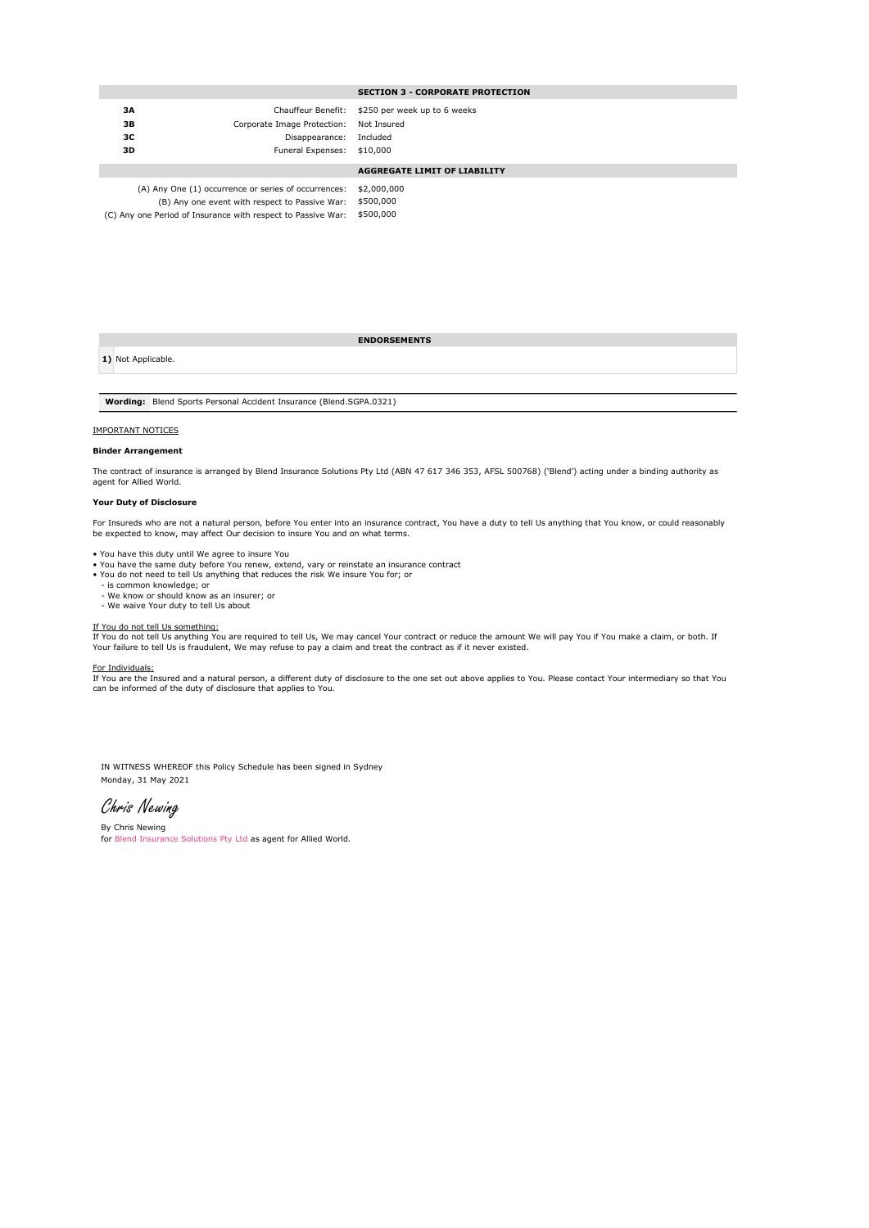#### SECTION 3 - CORPORATE PROTECTION

| 3A<br>3B<br>зс<br>3D | Corporate Image Protection: Not Insured<br>Disappearance: Included<br>Funeral Expenses: \$10,000 | Chauffeur Benefit: \$250 per week up to 6 weeks |
|----------------------|--------------------------------------------------------------------------------------------------|-------------------------------------------------|
|                      |                                                                                                  | <b>AGGREGATE LIMIT OF LIABILITY</b>             |
|                      | $(1)$ Apy Ope $(1)$ escurrence or series of escurrences: $\pm 2.000,000$                         |                                                 |

(C) Any one Period of Insurance with respect to Passive War: \$500,000 Any One (1) occurrence or series of occurrences: (B) Any one event with respect to Passive War: \$500,000

ENDORSEMENTS

1) Not Applicable.

Wording: Blend Sports Personal Accident Insurance (Blend.SGPA.0321)

#### IMPORTANT NOTICES

#### Binder Arrangement

The contract of insurance is arranged by Blend Insurance Solutions Pty Ltd (ABN 47 617 346 353, AFSL 500768) ('Blend') acting under a binding authority as agent for Allied World.

#### Your Duty of Disclosure

For Insureds who are not a natural person, before You enter into an insurance contract, You have a duty to tell Us anything that You know, or could reasonably be expected to know, may affect Our decision to insure You and on what terms.

- You have this duty until We agree to insure You You have the same duty before You renew, extend, vary or reinstate an insurance contract
- You do not need to tell Us anything that reduces the risk We insure You for; or
- is common knowledge; or We know or should know as an insurer; or
- We waive Your duty to tell Us about

<u>If You do not tell Us something:</u><br>If You do not tell Us anything You are required to tell Us, We may cancel Your contract or reduce the amount We will pay You if You make a claim, or both. If<br>Your failure to tell Us is fr

#### For Individuals:

If You are the Insured and a natural person, a different duty of disclosure to the one set out above applies to You. Please contact Your intermediary so that You<br>can be informed of the duty of disclosure that applies to Yo

Monday, 31 May 2021 IN WITNESS WHEREOF this Policy Schedule has been signed in Sydney

Chris Newing

By Chris Newing for Blend Insurance Solutions Pty Ltd as agent for Allied World.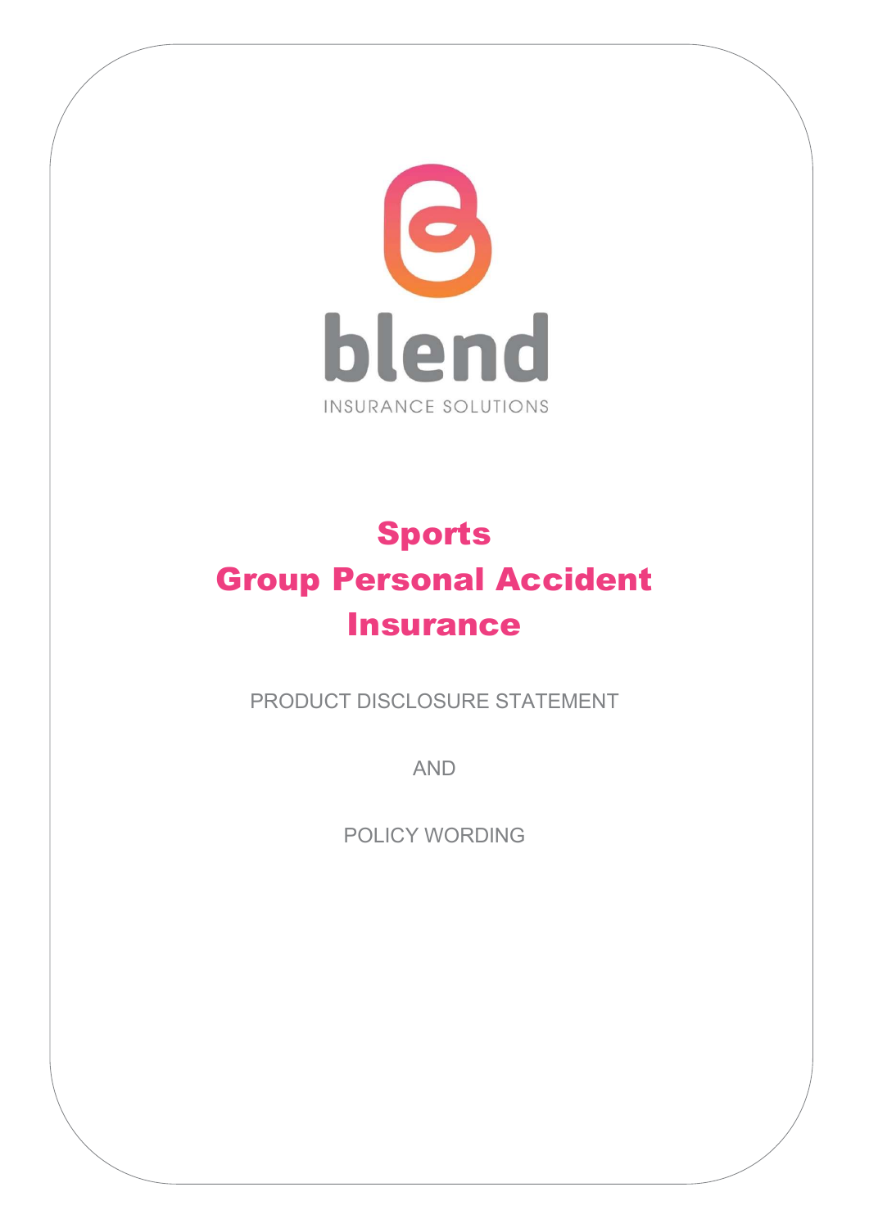

# Sports Group Personal Accident **Insurance**

PRODUCT DISCLOSURE STATEMENT

AND

POLICY WORDING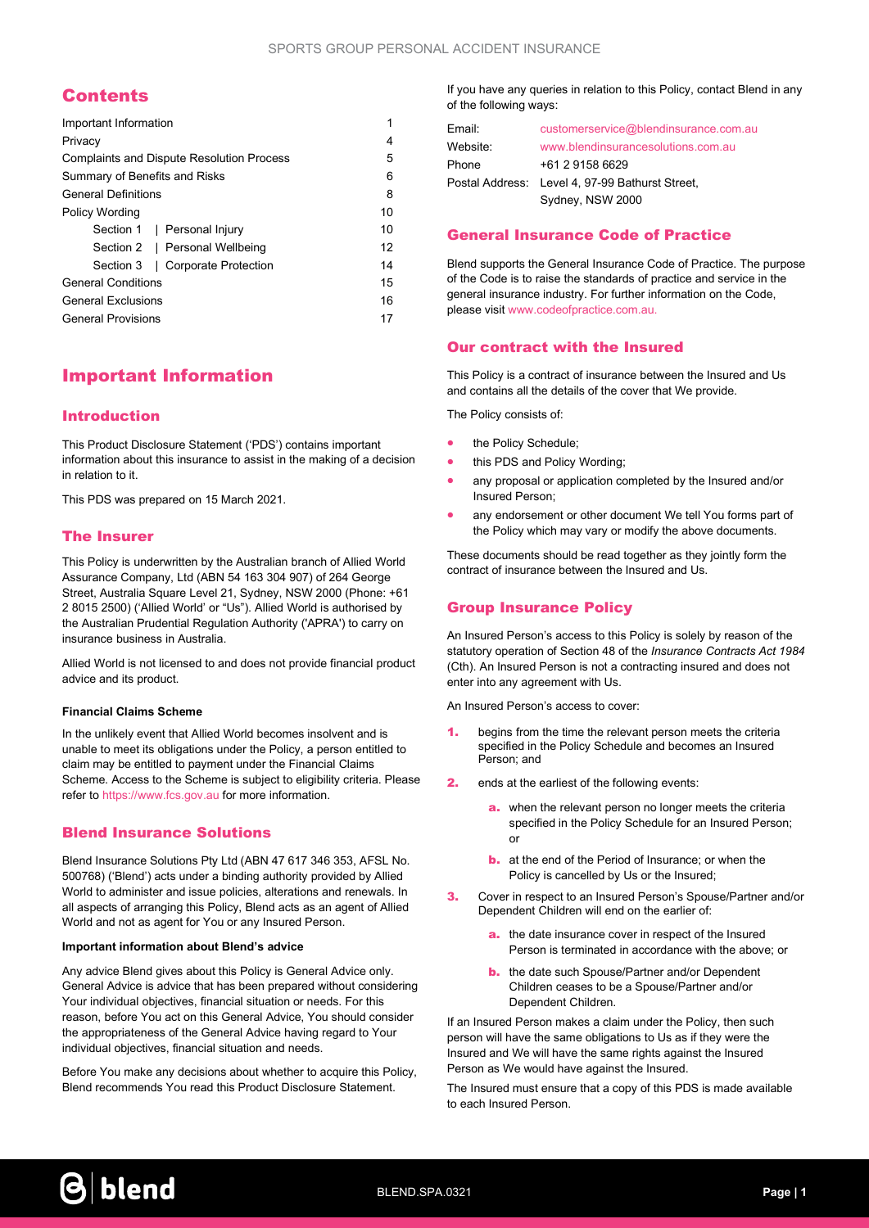## **Contents**

| Important Information                            |    |
|--------------------------------------------------|----|
| Privacy                                          | 4  |
| <b>Complaints and Dispute Resolution Process</b> | 5  |
| Summary of Benefits and Risks                    | 6  |
| <b>General Definitions</b>                       | 8  |
| <b>Policy Wording</b>                            | 10 |
| Section 1   Personal Injury                      | 10 |
| Section 2   Personal Wellbeing                   | 12 |
| Corporate Protection<br>Section 3                | 14 |
| <b>General Conditions</b>                        | 15 |
| <b>General Exclusions</b>                        | 16 |
| <b>General Provisions</b>                        | 17 |
|                                                  |    |

# Important Information

## Introduction

This Product Disclosure Statement ('PDS') contains important information about this insurance to assist in the making of a decision in relation to it.

This PDS was prepared on 15 March 2021.

## The Insurer

This Policy is underwritten by the Australian branch of Allied World Assurance Company, Ltd (ABN 54 163 304 907) of 264 George Street, Australia Square Level 21, Sydney, NSW 2000 (Phone: +61 2 8015 2500) ('Allied World' or "Us"). Allied World is authorised by the Australian Prudential Regulation Authority ('APRA') to carry on insurance business in Australia.

Allied World is not licensed to and does not provide financial product advice and its product.

### Financial Claims Scheme

In the unlikely event that Allied World becomes insolvent and is unable to meet its obligations under the Policy, a person entitled to claim may be entitled to payment under the Financial Claims Scheme. Access to the Scheme is subject to eligibility criteria. Please refer to https://www.fcs.gov.au for more information.

## Blend Insurance Solutions

Blend Insurance Solutions Pty Ltd (ABN 47 617 346 353, AFSL No. 500768) ('Blend') acts under a binding authority provided by Allied World to administer and issue policies, alterations and renewals. In all aspects of arranging this Policy, Blend acts as an agent of Allied World and not as agent for You or any Insured Person.

#### Important information about Blend's advice

Any advice Blend gives about this Policy is General Advice only. General Advice is advice that has been prepared without considering Your individual objectives, financial situation or needs. For this reason, before You act on this General Advice, You should consider the appropriateness of the General Advice having regard to Your individual objectives, financial situation and needs.

Before You make any decisions about whether to acquire this Policy, Blend recommends You read this Product Disclosure Statement.

If you have any queries in relation to this Policy, contact Blend in any of the following ways:

| Email:   | customerservice@blendinsurance.com.au           |  |
|----------|-------------------------------------------------|--|
| Website: | www.blendinsurancesolutions.com.au              |  |
| Phone    | +61 2 9158 6629                                 |  |
|          | Postal Address: Level 4, 97-99 Bathurst Street. |  |
|          | Sydney, NSW 2000                                |  |

## General Insurance Code of Practice

Blend supports the General Insurance Code of Practice. The purpose of the Code is to raise the standards of practice and service in the general insurance industry. For further information on the Code, please visit www.codeofpractice.com.au.

## Our contract with the Insured

This Policy is a contract of insurance between the Insured and Us and contains all the details of the cover that We provide.

The Policy consists of:

- the Policy Schedule;
- this PDS and Policy Wording;
- any proposal or application completed by the Insured and/or Insured Person;
- any endorsement or other document We tell You forms part of the Policy which may vary or modify the above documents.

These documents should be read together as they jointly form the contract of insurance between the Insured and Us.

## Group Insurance Policy

An Insured Person's access to this Policy is solely by reason of the statutory operation of Section 48 of the Insurance Contracts Act 1984 (Cth). An Insured Person is not a contracting insured and does not enter into any agreement with Us.

An Insured Person's access to cover:

- begins from the time the relevant person meets the criteria specified in the Policy Schedule and becomes an Insured Person; and
- 2. ends at the earliest of the following events:
	- a. when the relevant person no longer meets the criteria specified in the Policy Schedule for an Insured Person; or
	- **b.** at the end of the Period of Insurance; or when the Policy is cancelled by Us or the Insured;
- 3. Cover in respect to an Insured Person's Spouse/Partner and/or Dependent Children will end on the earlier of:
	- a. the date insurance cover in respect of the Insured Person is terminated in accordance with the above; or
	- **b.** the date such Spouse/Partner and/or Dependent Children ceases to be a Spouse/Partner and/or Dependent Children.

If an Insured Person makes a claim under the Policy, then such person will have the same obligations to Us as if they were the Insured and We will have the same rights against the Insured Person as We would have against the Insured.

The Insured must ensure that a copy of this PDS is made available to each Insured Person.

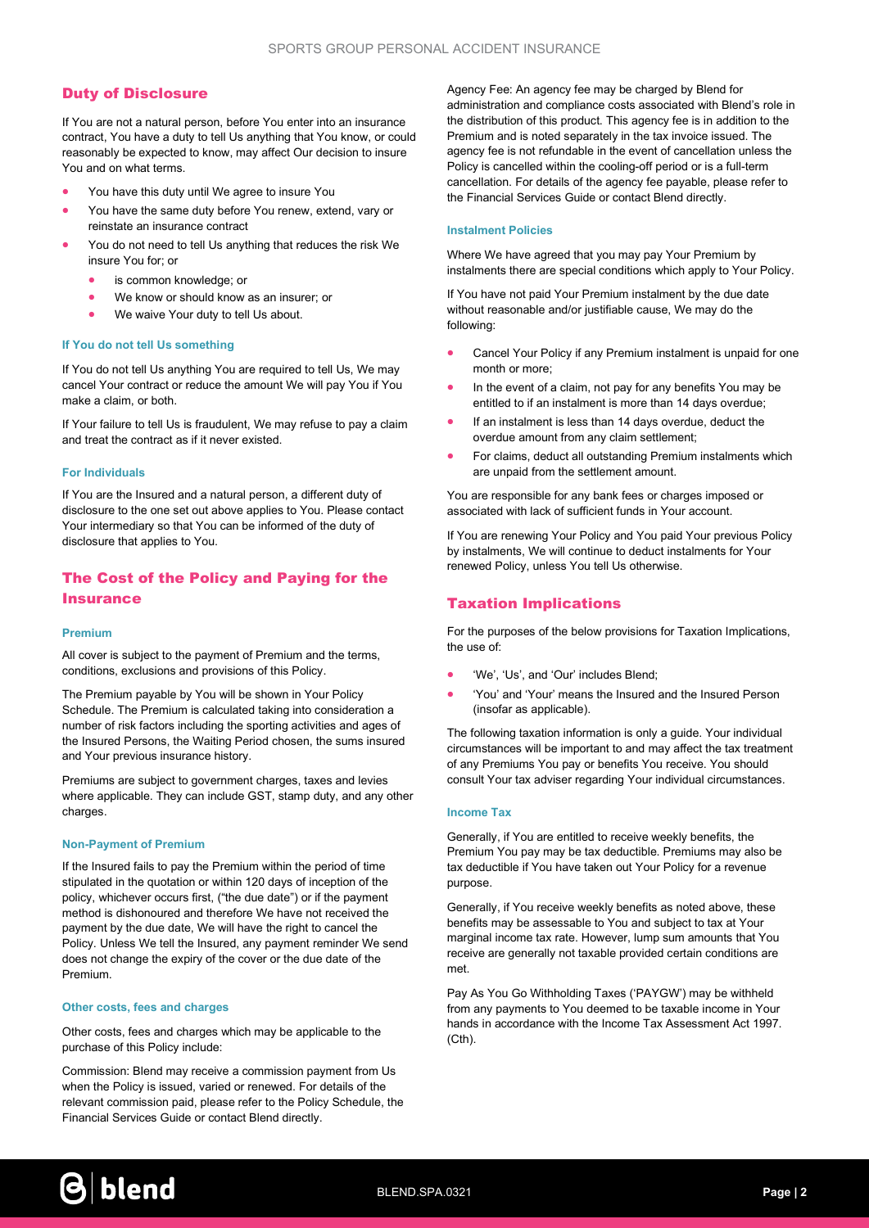## Duty of Disclosure

If You are not a natural person, before You enter into an insurance contract, You have a duty to tell Us anything that You know, or could reasonably be expected to know, may affect Our decision to insure You and on what terms.

- You have this duty until We agree to insure You
- You have the same duty before You renew, extend, vary or reinstate an insurance contract
- You do not need to tell Us anything that reduces the risk We insure You for; or
	- is common knowledge; or
	- We know or should know as an insurer; or
	- We waive Your duty to tell Us about.

#### If You do not tell Us something

If You do not tell Us anything You are required to tell Us, We may cancel Your contract or reduce the amount We will pay You if You make a claim, or both.

If Your failure to tell Us is fraudulent, We may refuse to pay a claim and treat the contract as if it never existed.

## For Individuals

If You are the Insured and a natural person, a different duty of disclosure to the one set out above applies to You. Please contact Your intermediary so that You can be informed of the duty of disclosure that applies to You.

## The Cost of the Policy and Paying for the **Insurance**

#### Premium

All cover is subject to the payment of Premium and the terms, conditions, exclusions and provisions of this Policy.

The Premium payable by You will be shown in Your Policy Schedule. The Premium is calculated taking into consideration a number of risk factors including the sporting activities and ages of the Insured Persons, the Waiting Period chosen, the sums insured and Your previous insurance history.

Premiums are subject to government charges, taxes and levies where applicable. They can include GST, stamp duty, and any other charges.

#### Non-Payment of Premium

If the Insured fails to pay the Premium within the period of time stipulated in the quotation or within 120 days of inception of the policy, whichever occurs first, ("the due date") or if the payment method is dishonoured and therefore We have not received the payment by the due date, We will have the right to cancel the Policy. Unless We tell the Insured, any payment reminder We send does not change the expiry of the cover or the due date of the Premium.

#### Other costs, fees and charges

Other costs, fees and charges which may be applicable to the purchase of this Policy include:

Commission: Blend may receive a commission payment from Us when the Policy is issued, varied or renewed. For details of the relevant commission paid, please refer to the Policy Schedule, the Financial Services Guide or contact Blend directly.

Agency Fee: An agency fee may be charged by Blend for administration and compliance costs associated with Blend's role in the distribution of this product. This agency fee is in addition to the Premium and is noted separately in the tax invoice issued. The agency fee is not refundable in the event of cancellation unless the Policy is cancelled within the cooling-off period or is a full-term cancellation. For details of the agency fee payable, please refer to the Financial Services Guide or contact Blend directly.

#### Instalment Policies

Where We have agreed that you may pay Your Premium by instalments there are special conditions which apply to Your Policy.

If You have not paid Your Premium instalment by the due date without reasonable and/or justifiable cause, We may do the following:

- Cancel Your Policy if any Premium instalment is unpaid for one month or more;
- In the event of a claim, not pay for any benefits You may be entitled to if an instalment is more than 14 days overdue;
- If an instalment is less than 14 days overdue, deduct the overdue amount from any claim settlement;
- For claims, deduct all outstanding Premium instalments which are unpaid from the settlement amount.

You are responsible for any bank fees or charges imposed or associated with lack of sufficient funds in Your account.

If You are renewing Your Policy and You paid Your previous Policy by instalments, We will continue to deduct instalments for Your renewed Policy, unless You tell Us otherwise.

## Taxation Implications

For the purposes of the below provisions for Taxation Implications, the use of:

- 'We', 'Us', and 'Our' includes Blend;
- 'You' and 'Your' means the Insured and the Insured Person (insofar as applicable).

The following taxation information is only a guide. Your individual circumstances will be important to and may affect the tax treatment of any Premiums You pay or benefits You receive. You should consult Your tax adviser regarding Your individual circumstances.

#### Income Tax

Generally, if You are entitled to receive weekly benefits, the Premium You pay may be tax deductible. Premiums may also be tax deductible if You have taken out Your Policy for a revenue purpose.

Generally, if You receive weekly benefits as noted above, these benefits may be assessable to You and subject to tax at Your marginal income tax rate. However, lump sum amounts that You receive are generally not taxable provided certain conditions are met.

Pay As You Go Withholding Taxes ('PAYGW') may be withheld from any payments to You deemed to be taxable income in Your hands in accordance with the Income Tax Assessment Act 1997.  $(Cth)$ 

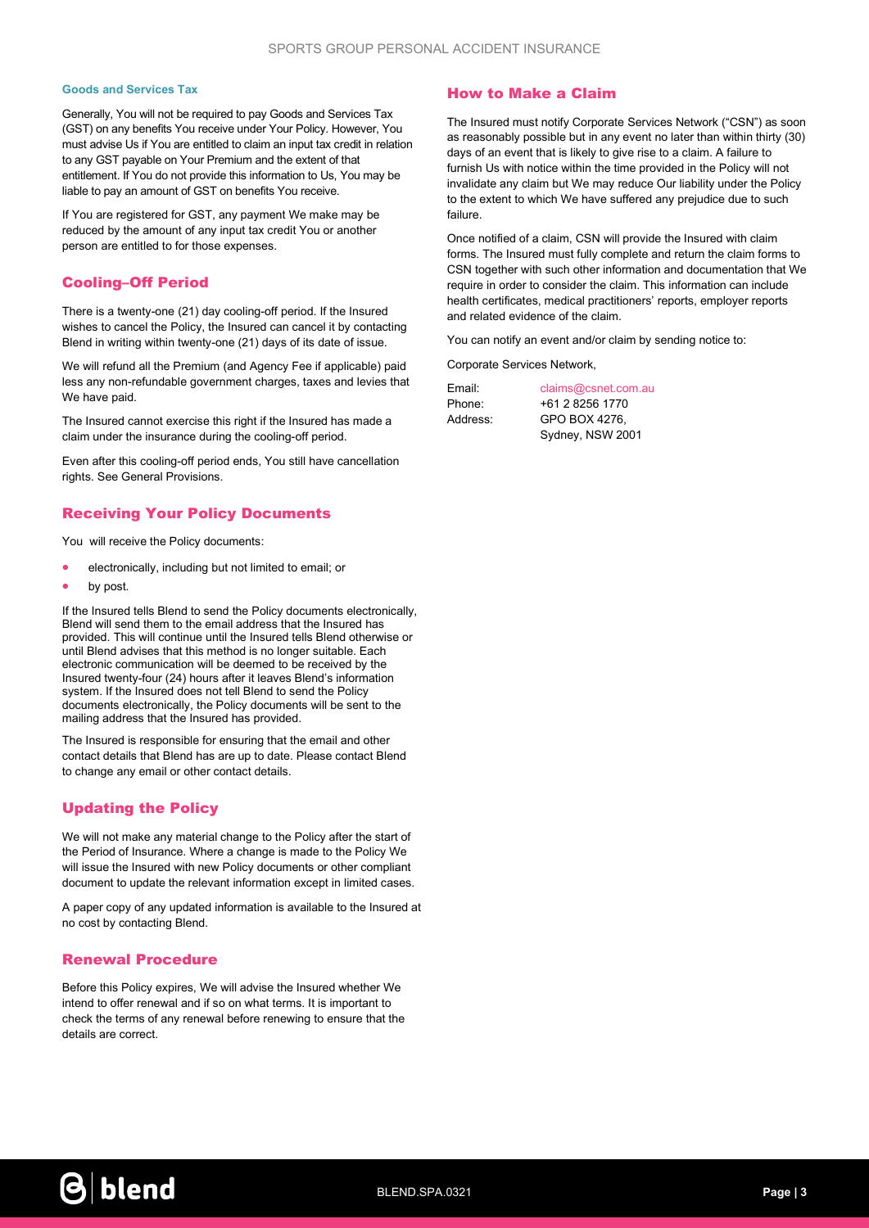#### Goods and Services Tax

Generally, You will not be required to pay Goods and Services Tax (GST) on any benefits You receive under Your Policy. However, You must advise Us if You are entitled to claim an input tax credit in relation to any GST payable on Your Premium and the extent of that entitlement. If You do not provide this information to Us, You may be liable to pay an amount of GST on benefits You receive.

If You are registered for GST, any payment We make may be reduced by the amount of any input tax credit You or another person are entitled to for those expenses.

## Cooling–Off Period

There is a twenty-one (21) day cooling-off period. If the Insured wishes to cancel the Policy, the Insured can cancel it by contacting Blend in writing within twenty-one (21) days of its date of issue.

We will refund all the Premium (and Agency Fee if applicable) paid less any non-refundable government charges, taxes and levies that We have paid.

The Insured cannot exercise this right if the Insured has made a claim under the insurance during the cooling-off period.

Even after this cooling-off period ends, You still have cancellation rights. See General Provisions.

## Receiving Your Policy Documents

You will receive the Policy documents:

- electronically, including but not limited to email; or
- by post.

If the Insured tells Blend to send the Policy documents electronically, Blend will send them to the email address that the Insured has provided. This will continue until the Insured tells Blend otherwise or until Blend advises that this method is no longer suitable. Each electronic communication will be deemed to be received by the Insured twenty-four (24) hours after it leaves Blend's information system. If the Insured does not tell Blend to send the Policy documents electronically, the Policy documents will be sent to the mailing address that the Insured has provided.

The Insured is responsible for ensuring that the email and other contact details that Blend has are up to date. Please contact Blend to change any email or other contact details.

## Updating the Policy

We will not make any material change to the Policy after the start of the Period of Insurance. Where a change is made to the Policy We will issue the Insured with new Policy documents or other compliant document to update the relevant information except in limited cases.

A paper copy of any updated information is available to the Insured at no cost by contacting Blend.

## Renewal Procedure

Before this Policy expires, We will advise the Insured whether We intend to offer renewal and if so on what terms. It is important to check the terms of any renewal before renewing to ensure that the details are correct.

## How to Make a Claim

The Insured must notify Corporate Services Network ("CSN") as soon as reasonably possible but in any event no later than within thirty (30) days of an event that is likely to give rise to a claim. A failure to furnish Us with notice within the time provided in the Policy will not invalidate any claim but We may reduce Our liability under the Policy to the extent to which We have suffered any prejudice due to such failure.

Once notified of a claim, CSN will provide the Insured with claim forms. The Insured must fully complete and return the claim forms to CSN together with such other information and documentation that We require in order to consider the claim. This information can include health certificates, medical practitioners' reports, employer reports and related evidence of the claim.

You can notify an event and/or claim by sending notice to:

Corporate Services Network,

| Email:   | claims@csnet.com.au |  |
|----------|---------------------|--|
| Phone:   | +61 2 8256 1770     |  |
| Address: | GPO BOX 4276.       |  |
|          | Sydney, NSW 2001    |  |

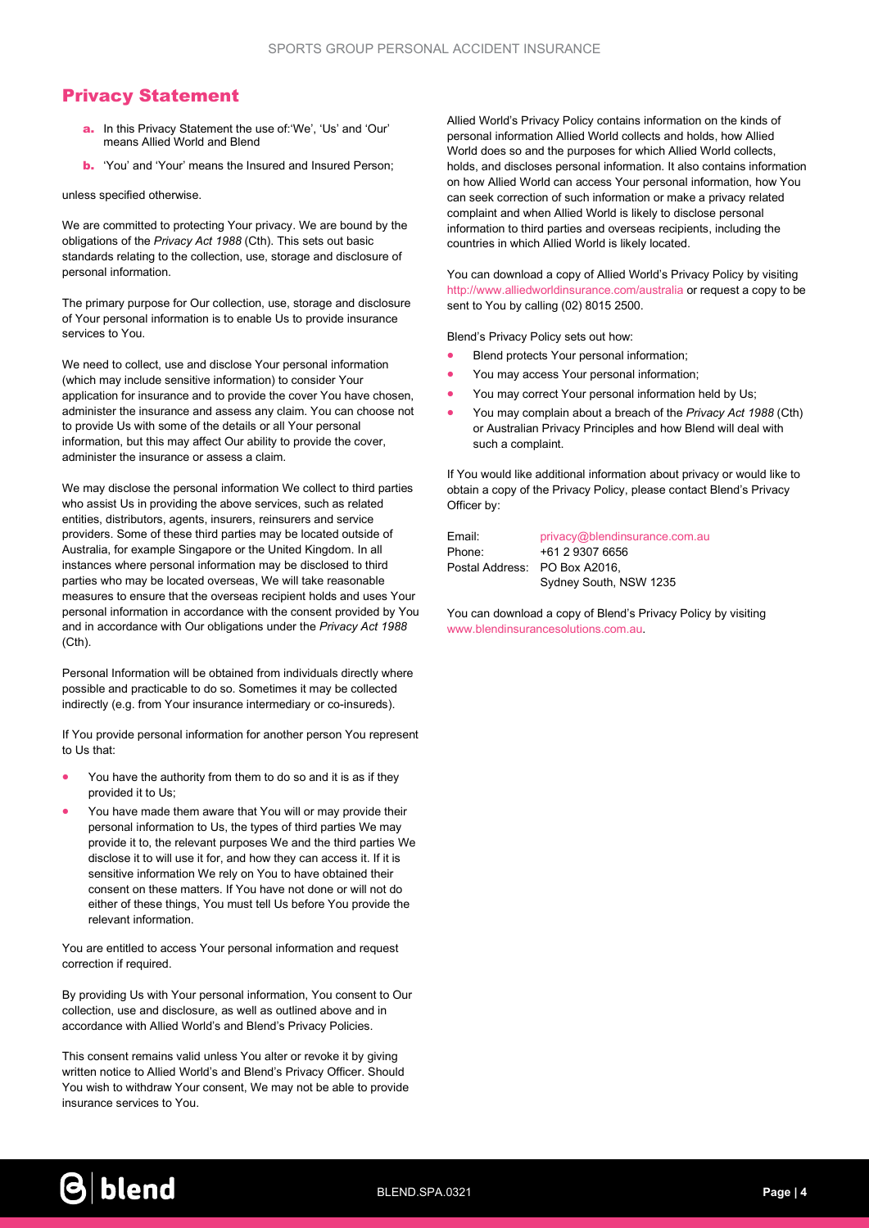## Privacy Statement

- a. In this Privacy Statement the use of:'We', 'Us' and 'Our' means Allied World and Blend
- **b.** 'You' and 'Your' means the Insured and Insured Person;

unless specified otherwise.

We are committed to protecting Your privacy. We are bound by the obligations of the Privacy Act 1988 (Cth). This sets out basic standards relating to the collection, use, storage and disclosure of personal information.

The primary purpose for Our collection, use, storage and disclosure of Your personal information is to enable Us to provide insurance services to You.

We need to collect, use and disclose Your personal information (which may include sensitive information) to consider Your application for insurance and to provide the cover You have chosen, administer the insurance and assess any claim. You can choose not to provide Us with some of the details or all Your personal information, but this may affect Our ability to provide the cover, administer the insurance or assess a claim.

We may disclose the personal information We collect to third parties who assist Us in providing the above services, such as related entities, distributors, agents, insurers, reinsurers and service providers. Some of these third parties may be located outside of Australia, for example Singapore or the United Kingdom. In all instances where personal information may be disclosed to third parties who may be located overseas, We will take reasonable measures to ensure that the overseas recipient holds and uses Your personal information in accordance with the consent provided by You and in accordance with Our obligations under the Privacy Act 1988  $(Cth)$ 

Personal Information will be obtained from individuals directly where possible and practicable to do so. Sometimes it may be collected indirectly (e.g. from Your insurance intermediary or co-insureds).

If You provide personal information for another person You represent to Us that:

- You have the authority from them to do so and it is as if they provided it to Us;
- You have made them aware that You will or may provide their personal information to Us, the types of third parties We may provide it to, the relevant purposes We and the third parties We disclose it to will use it for, and how they can access it. If it is sensitive information We rely on You to have obtained their consent on these matters. If You have not done or will not do either of these things, You must tell Us before You provide the relevant information.

You are entitled to access Your personal information and request correction if required.

By providing Us with Your personal information, You consent to Our collection, use and disclosure, as well as outlined above and in accordance with Allied World's and Blend's Privacy Policies.

This consent remains valid unless You alter or revoke it by giving written notice to Allied World's and Blend's Privacy Officer. Should You wish to withdraw Your consent, We may not be able to provide insurance services to You.

Allied World's Privacy Policy contains information on the kinds of personal information Allied World collects and holds, how Allied World does so and the purposes for which Allied World collects, holds, and discloses personal information. It also contains information on how Allied World can access Your personal information, how You can seek correction of such information or make a privacy related complaint and when Allied World is likely to disclose personal information to third parties and overseas recipients, including the countries in which Allied World is likely located.

You can download a copy of Allied World's Privacy Policy by visiting http://www.alliedworldinsurance.com/australia or request a copy to be sent to You by calling (02) 8015 2500.

Blend's Privacy Policy sets out how:

- Blend protects Your personal information;
- You may access Your personal information;
- You may correct Your personal information held by Us;
- You may complain about a breach of the Privacy Act 1988 (Cth) or Australian Privacy Principles and how Blend will deal with such a complaint.

If You would like additional information about privacy or would like to obtain a copy of the Privacy Policy, please contact Blend's Privacy Officer by:

Email: privacy@blendinsurance.com.au

Phone: +61 2 9307 6656 Postal Address: PO Box A2016, Sydney South, NSW 1235

You can download a copy of Blend's Privacy Policy by visiting www.blendinsurancesolutions.com.au.

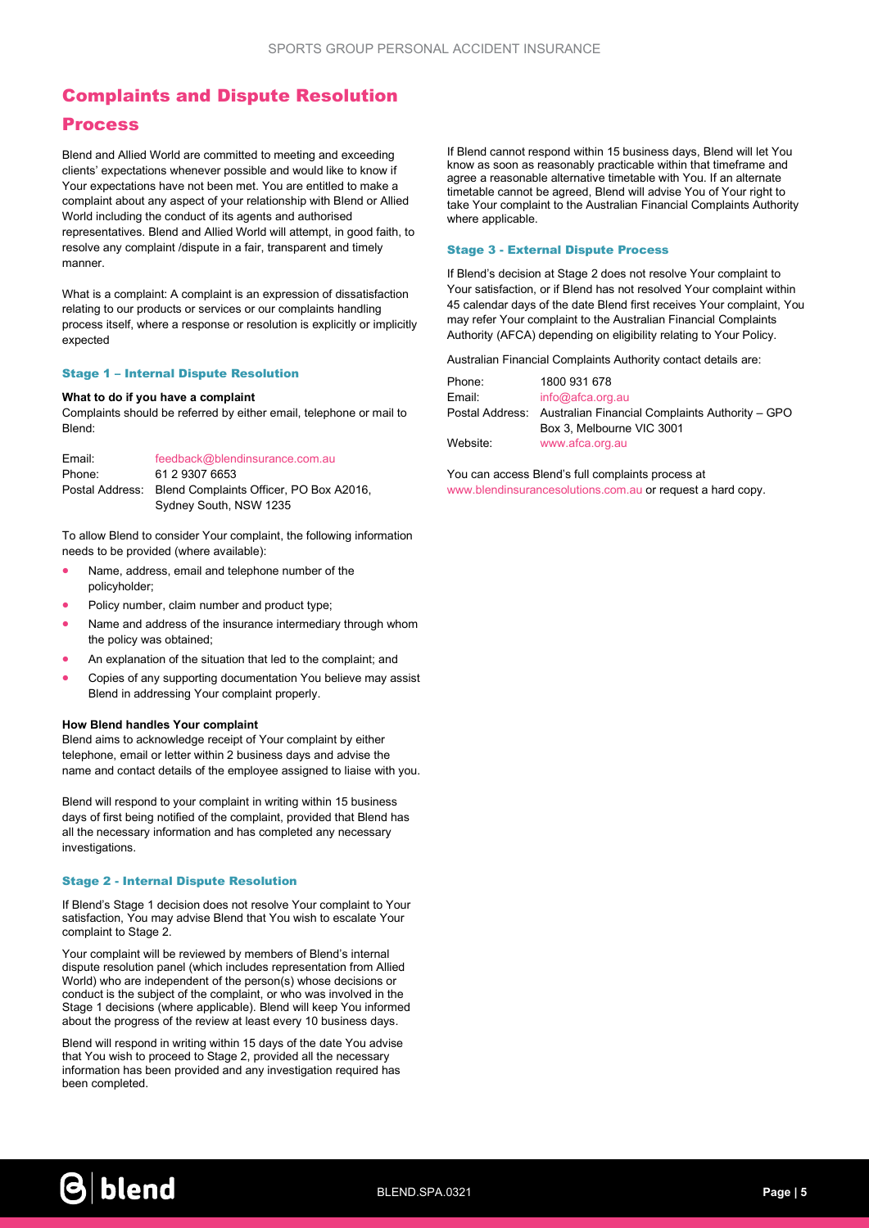## Complaints and Dispute Resolution

## Process

Blend and Allied World are committed to meeting and exceeding clients' expectations whenever possible and would like to know if Your expectations have not been met. You are entitled to make a complaint about any aspect of your relationship with Blend or Allied World including the conduct of its agents and authorised representatives. Blend and Allied World will attempt, in good faith, to resolve any complaint /dispute in a fair, transparent and timely manner.

What is a complaint: A complaint is an expression of dissatisfaction relating to our products or services or our complaints handling process itself, where a response or resolution is explicitly or implicitly expected

#### Stage 1 – Internal Dispute Resolution

#### What to do if you have a complaint

Complaints should be referred by either email, telephone or mail to Blend:

| Email: | feedback@blendinsurance.com.au                          |
|--------|---------------------------------------------------------|
| Phone: | 61 2 9307 6653                                          |
|        | Postal Address: Blend Complaints Officer, PO Box A2016, |
|        | Sydney South, NSW 1235                                  |

To allow Blend to consider Your complaint, the following information needs to be provided (where available):

- Name, address, email and telephone number of the policyholder;
- Policy number, claim number and product type;
- Name and address of the insurance intermediary through whom the policy was obtained;
- An explanation of the situation that led to the complaint; and
- Copies of any supporting documentation You believe may assist Blend in addressing Your complaint properly.

#### How Blend handles Your complaint

Blend aims to acknowledge receipt of Your complaint by either telephone, email or letter within 2 business days and advise the name and contact details of the employee assigned to liaise with you.

Blend will respond to your complaint in writing within 15 business days of first being notified of the complaint, provided that Blend has all the necessary information and has completed any necessary investigations.

#### Stage 2 - Internal Dispute Resolution

If Blend's Stage 1 decision does not resolve Your complaint to Your satisfaction, You may advise Blend that You wish to escalate Your complaint to Stage 2.

Your complaint will be reviewed by members of Blend's internal dispute resolution panel (which includes representation from Allied World) who are independent of the person(s) whose decisions or conduct is the subject of the complaint, or who was involved in the Stage 1 decisions (where applicable). Blend will keep You informed about the progress of the review at least every 10 business days.

Blend will respond in writing within 15 days of the date You advise that You wish to proceed to Stage 2, provided all the necessary information has been provided and any investigation required has been completed.

If Blend cannot respond within 15 business days, Blend will let You know as soon as reasonably practicable within that timeframe and agree a reasonable alternative timetable with You. If an alternate timetable cannot be agreed, Blend will advise You of Your right to take Your complaint to the Australian Financial Complaints Authority where applicable.

#### Stage 3 - External Dispute Process

If Blend's decision at Stage 2 does not resolve Your complaint to Your satisfaction, or if Blend has not resolved Your complaint within 45 calendar days of the date Blend first receives Your complaint, You may refer Your complaint to the Australian Financial Complaints Authority (AFCA) depending on eligibility relating to Your Policy.

Australian Financial Complaints Authority contact details are:

| Phone:   | 1800 931 678                                                    |
|----------|-----------------------------------------------------------------|
| Email:   | info@afca.org.au                                                |
|          | Postal Address: Australian Financial Complaints Authority - GPO |
|          | Box 3. Melbourne VIC 3001                                       |
| Website: | www.afca.org.au                                                 |
|          |                                                                 |

You can access Blend's full complaints process at www.blendinsurancesolutions.com.au or request a hard copy.

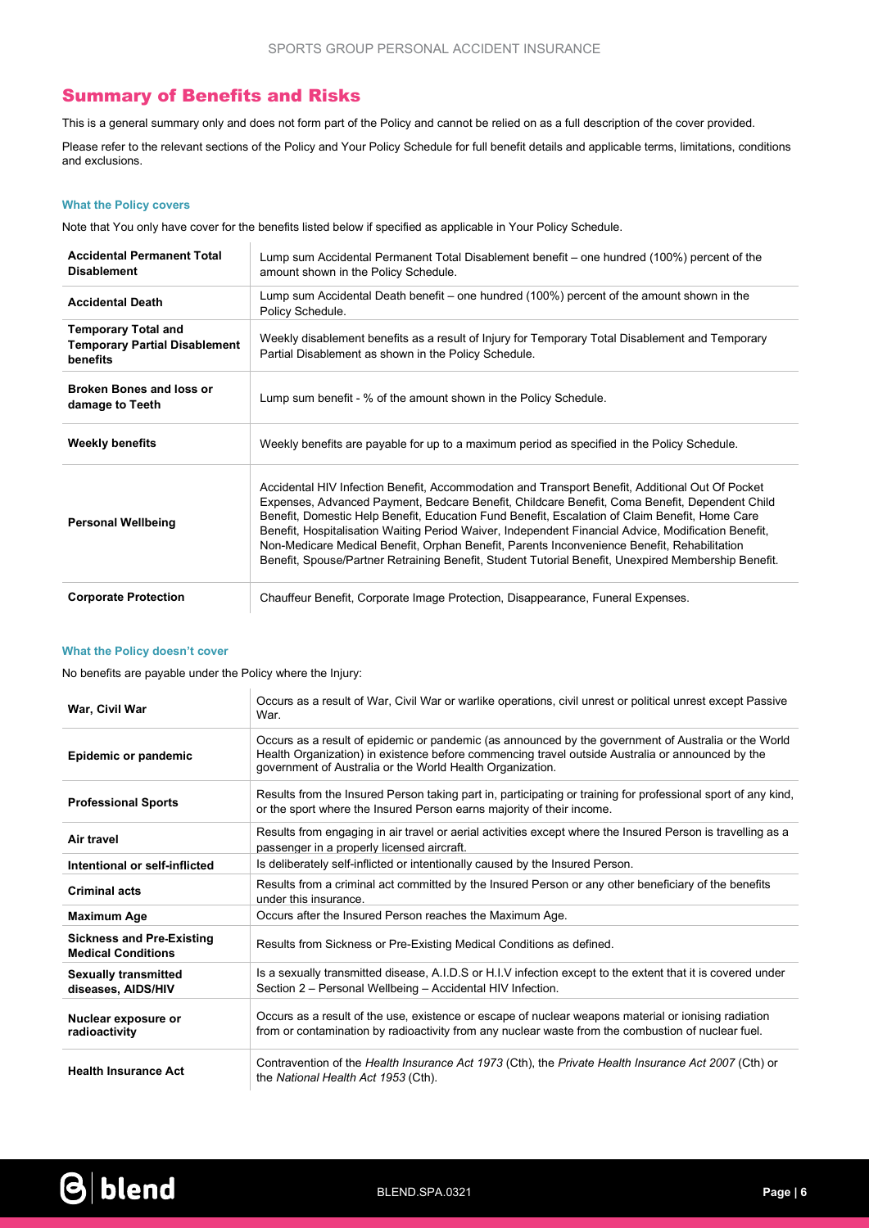## Summary of Benefits and Risks

This is a general summary only and does not form part of the Policy and cannot be relied on as a full description of the cover provided.

Please refer to the relevant sections of the Policy and Your Policy Schedule for full benefit details and applicable terms, limitations, conditions and exclusions.

## What the Policy covers

Note that You only have cover for the benefits listed below if specified as applicable in Your Policy Schedule.

| <b>Accidental Permanent Total</b><br><b>Disablement</b>                                                                                                                                                                                   | Lump sum Accidental Permanent Total Disablement benefit – one hundred (100%) percent of the<br>amount shown in the Policy Schedule.                                                                                                                                                                                                                                                                                                                                                                                                                                                                             |  |
|-------------------------------------------------------------------------------------------------------------------------------------------------------------------------------------------------------------------------------------------|-----------------------------------------------------------------------------------------------------------------------------------------------------------------------------------------------------------------------------------------------------------------------------------------------------------------------------------------------------------------------------------------------------------------------------------------------------------------------------------------------------------------------------------------------------------------------------------------------------------------|--|
| <b>Accidental Death</b>                                                                                                                                                                                                                   | Lump sum Accidental Death benefit – one hundred (100%) percent of the amount shown in the<br>Policy Schedule.                                                                                                                                                                                                                                                                                                                                                                                                                                                                                                   |  |
| <b>Temporary Total and</b><br>Weekly disablement benefits as a result of Injury for Temporary Total Disablement and Temporary<br><b>Temporary Partial Disablement</b><br>Partial Disablement as shown in the Policy Schedule.<br>benefits |                                                                                                                                                                                                                                                                                                                                                                                                                                                                                                                                                                                                                 |  |
| <b>Broken Bones and loss or</b><br>damage to Teeth                                                                                                                                                                                        | Lump sum benefit - % of the amount shown in the Policy Schedule.                                                                                                                                                                                                                                                                                                                                                                                                                                                                                                                                                |  |
| <b>Weekly benefits</b>                                                                                                                                                                                                                    | Weekly benefits are payable for up to a maximum period as specified in the Policy Schedule.                                                                                                                                                                                                                                                                                                                                                                                                                                                                                                                     |  |
| <b>Personal Wellbeing</b>                                                                                                                                                                                                                 | Accidental HIV Infection Benefit, Accommodation and Transport Benefit, Additional Out Of Pocket<br>Expenses, Advanced Payment, Bedcare Benefit, Childcare Benefit, Coma Benefit, Dependent Child<br>Benefit, Domestic Help Benefit, Education Fund Benefit, Escalation of Claim Benefit, Home Care<br>Benefit, Hospitalisation Waiting Period Waiver, Independent Financial Advice, Modification Benefit,<br>Non-Medicare Medical Benefit, Orphan Benefit, Parents Inconvenience Benefit, Rehabilitation<br>Benefit, Spouse/Partner Retraining Benefit, Student Tutorial Benefit, Unexpired Membership Benefit. |  |
| <b>Corporate Protection</b>                                                                                                                                                                                                               | Chauffeur Benefit, Corporate Image Protection, Disappearance, Funeral Expenses.                                                                                                                                                                                                                                                                                                                                                                                                                                                                                                                                 |  |

#### What the Policy doesn't cover

No benefits are payable under the Policy where the Injury:

 $\mathbb{R}^2$ 

| War, Civil War                                                                                                                                                          | Occurs as a result of War, Civil War or warlike operations, civil unrest or political unrest except Passive<br>War.                                                                                                                                                   |  |  |
|-------------------------------------------------------------------------------------------------------------------------------------------------------------------------|-----------------------------------------------------------------------------------------------------------------------------------------------------------------------------------------------------------------------------------------------------------------------|--|--|
| Epidemic or pandemic                                                                                                                                                    | Occurs as a result of epidemic or pandemic (as announced by the government of Australia or the World<br>Health Organization) in existence before commencing travel outside Australia or announced by the<br>government of Australia or the World Health Organization. |  |  |
| <b>Professional Sports</b>                                                                                                                                              | Results from the Insured Person taking part in, participating or training for professional sport of any kind,<br>or the sport where the Insured Person earns majority of their income.                                                                                |  |  |
| Results from engaging in air travel or aerial activities except where the Insured Person is travelling as a<br>Air travel<br>passenger in a properly licensed aircraft. |                                                                                                                                                                                                                                                                       |  |  |
| Is deliberately self-inflicted or intentionally caused by the Insured Person.<br>Intentional or self-inflicted                                                          |                                                                                                                                                                                                                                                                       |  |  |
| Results from a criminal act committed by the Insured Person or any other beneficiary of the benefits<br><b>Criminal acts</b><br>under this insurance.                   |                                                                                                                                                                                                                                                                       |  |  |
| <b>Maximum Age</b>                                                                                                                                                      | Occurs after the Insured Person reaches the Maximum Age.                                                                                                                                                                                                              |  |  |
| <b>Sickness and Pre-Existing</b><br><b>Medical Conditions</b>                                                                                                           | Results from Sickness or Pre-Existing Medical Conditions as defined.                                                                                                                                                                                                  |  |  |
| <b>Sexually transmitted</b><br>diseases, AIDS/HIV                                                                                                                       | Is a sexually transmitted disease, A.I.D.S or H.I.V infection except to the extent that it is covered under<br>Section 2 - Personal Wellbeing - Accidental HIV Infection.                                                                                             |  |  |
| Nuclear exposure or<br>radioactivity                                                                                                                                    | Occurs as a result of the use, existence or escape of nuclear weapons material or ionising radiation<br>from or contamination by radioactivity from any nuclear waste from the combustion of nuclear fuel.                                                            |  |  |
| <b>Health Insurance Act</b>                                                                                                                                             | Contravention of the Health Insurance Act 1973 (Cth), the Private Health Insurance Act 2007 (Cth) or<br>the National Health Act 1953 (Cth).                                                                                                                           |  |  |

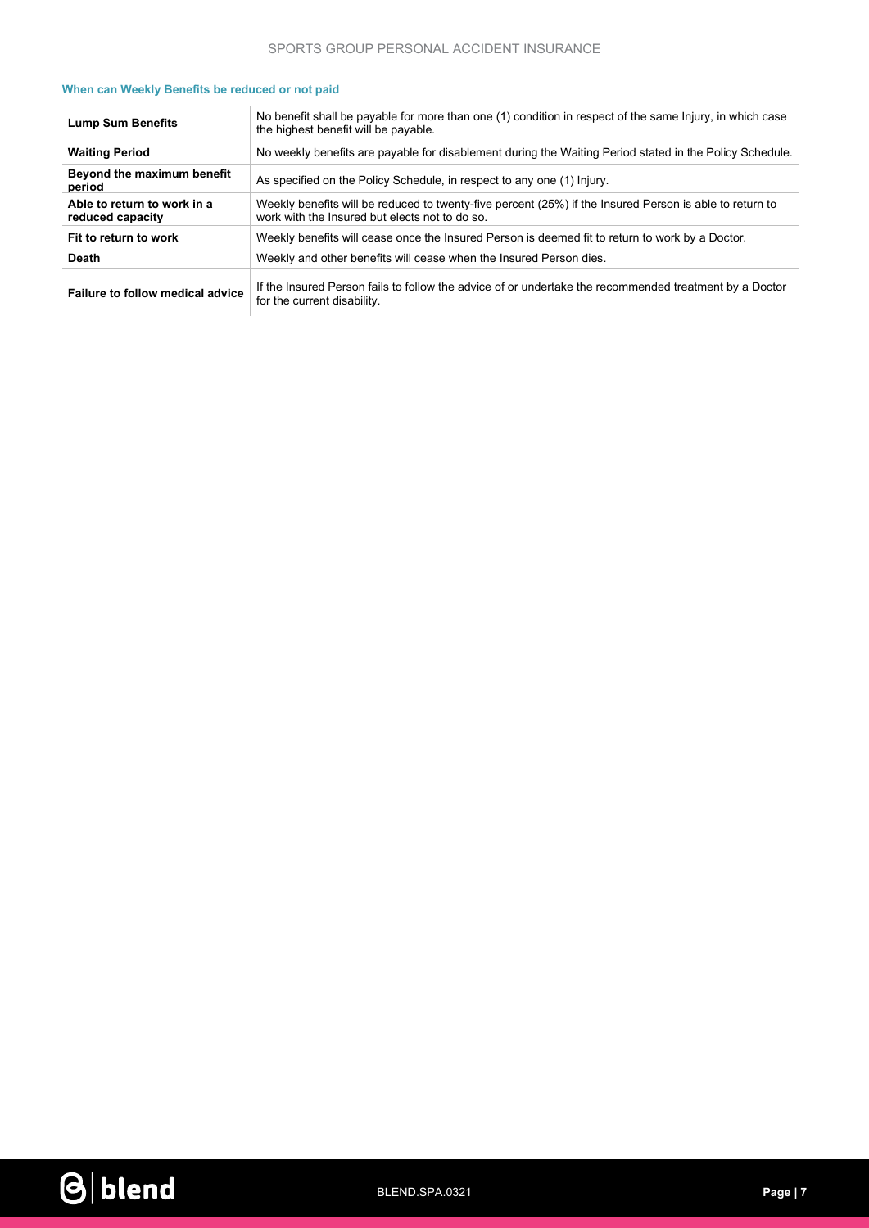| When can Weekly Benefits be reduced or not paid |  |  |  |
|-------------------------------------------------|--|--|--|
|-------------------------------------------------|--|--|--|

| <b>Lump Sum Benefits</b>                        | No benefit shall be payable for more than one (1) condition in respect of the same Injury, in which case<br>the highest benefit will be payable.          |  |  |
|-------------------------------------------------|-----------------------------------------------------------------------------------------------------------------------------------------------------------|--|--|
| <b>Waiting Period</b>                           | No weekly benefits are payable for disablement during the Waiting Period stated in the Policy Schedule.                                                   |  |  |
| Beyond the maximum benefit<br>period            | As specified on the Policy Schedule, in respect to any one (1) Injury.                                                                                    |  |  |
| Able to return to work in a<br>reduced capacity | Weekly benefits will be reduced to twenty-five percent (25%) if the Insured Person is able to return to<br>work with the Insured but elects not to do so. |  |  |
| Fit to return to work                           | Weekly benefits will cease once the Insured Person is deemed fit to return to work by a Doctor.                                                           |  |  |
| <b>Death</b>                                    | Weekly and other benefits will cease when the Insured Person dies.                                                                                        |  |  |
|                                                 |                                                                                                                                                           |  |  |

Failure to follow medical advice If the Insured Person fails to follow the advice of or undertake the recommended treatment by a Doctor for the current disability.

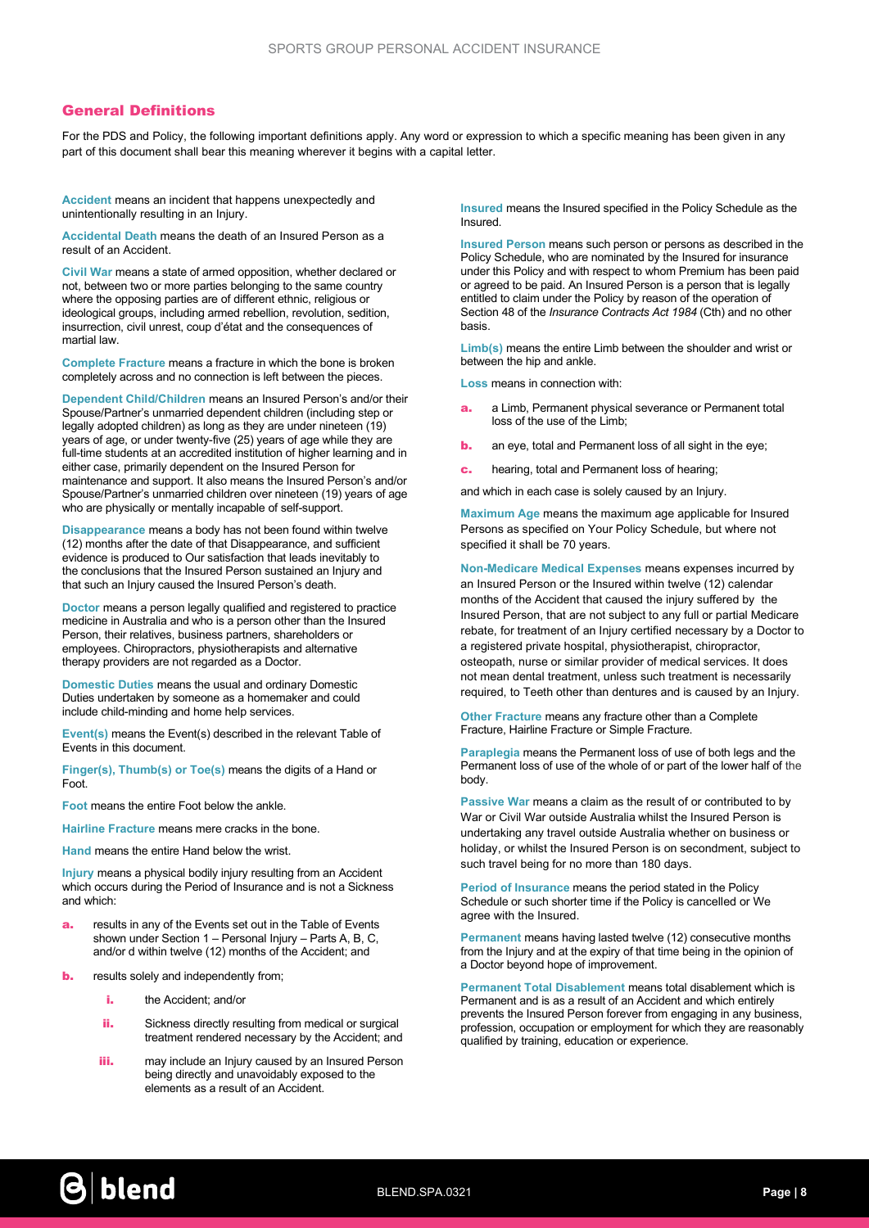## General Definitions

For the PDS and Policy, the following important definitions apply. Any word or expression to which a specific meaning has been given in any part of this document shall bear this meaning wherever it begins with a capital letter.

Accident means an incident that happens unexpectedly and unintentionally resulting in an Injury.

Accidental Death means the death of an Insured Person as a result of an Accident.

Civil War means a state of armed opposition, whether declared or not, between two or more parties belonging to the same country where the opposing parties are of different ethnic, religious or ideological groups, including armed rebellion, revolution, sedition, insurrection, civil unrest, coup d'état and the consequences of martial law.

Complete Fracture means a fracture in which the bone is broken completely across and no connection is left between the pieces.

Dependent Child/Children means an Insured Person's and/or their Spouse/Partner's unmarried dependent children (including step or legally adopted children) as long as they are under nineteen (19) years of age, or under twenty-five (25) years of age while they are full-time students at an accredited institution of higher learning and in either case, primarily dependent on the Insured Person for maintenance and support. It also means the Insured Person's and/or Spouse/Partner's unmarried children over nineteen (19) years of age who are physically or mentally incapable of self-support.

Disappearance means a body has not been found within twelve (12) months after the date of that Disappearance, and sufficient evidence is produced to Our satisfaction that leads inevitably to the conclusions that the Insured Person sustained an Injury and that such an Injury caused the Insured Person's death.

Doctor means a person legally qualified and registered to practice medicine in Australia and who is a person other than the Insured Person, their relatives, business partners, shareholders or employees. Chiropractors, physiotherapists and alternative therapy providers are not regarded as a Doctor.

Domestic Duties means the usual and ordinary Domestic Duties undertaken by someone as a homemaker and could include child-minding and home help services.

Event(s) means the Event(s) described in the relevant Table of Events in this document.

Finger(s), Thumb(s) or Toe(s) means the digits of a Hand or Foot.

Foot means the entire Foot below the ankle.

Hairline Fracture means mere cracks in the bone.

Hand means the entire Hand below the wrist.

**Injury** means a physical bodily injury resulting from an Accident which occurs during the Period of Insurance and is not a Sickness and which:

- results in any of the Events set out in the Table of Events shown under Section 1 – Personal Injury – Parts A, B, C, and/or d within twelve (12) months of the Accident; and
- **b.** results solely and independently from:
	- i. the Accident; and/or
	- ii. Sickness directly resulting from medical or surgical treatment rendered necessary by the Accident; and
	- iii. may include an Injury caused by an Insured Person being directly and unavoidably exposed to the elements as a result of an Accident.

Insured means the Insured specified in the Policy Schedule as the Insured.

Insured Person means such person or persons as described in the Policy Schedule, who are nominated by the Insured for insurance under this Policy and with respect to whom Premium has been paid or agreed to be paid. An Insured Person is a person that is legally entitled to claim under the Policy by reason of the operation of Section 48 of the *Insurance Contracts Act 1984* (Cth) and no other basis.

Limb(s) means the entire Limb between the shoulder and wrist or between the hip and ankle.

Loss means in connection with:

- **a.** a Limb, Permanent physical severance or Permanent total loss of the use of the Limb;
- **b.** an eye, total and Permanent loss of all sight in the eye;
- c. hearing, total and Permanent loss of hearing;

and which in each case is solely caused by an Injury.

Maximum Age means the maximum age applicable for Insured Persons as specified on Your Policy Schedule, but where not specified it shall be 70 years.

Non-Medicare Medical Expenses means expenses incurred by an Insured Person or the Insured within twelve (12) calendar months of the Accident that caused the injury suffered by the Insured Person, that are not subject to any full or partial Medicare rebate, for treatment of an Injury certified necessary by a Doctor to a registered private hospital, physiotherapist, chiropractor, osteopath, nurse or similar provider of medical services. It does not mean dental treatment, unless such treatment is necessarily required, to Teeth other than dentures and is caused by an Injury.

Other Fracture means any fracture other than a Complete Fracture, Hairline Fracture or Simple Fracture.

Paraplegia means the Permanent loss of use of both legs and the Permanent loss of use of the whole of or part of the lower half of the body.

Passive War means a claim as the result of or contributed to by War or Civil War outside Australia whilst the Insured Person is undertaking any travel outside Australia whether on business or holiday, or whilst the Insured Person is on secondment, subject to such travel being for no more than 180 days.

Period of Insurance means the period stated in the Policy Schedule or such shorter time if the Policy is cancelled or We agree with the Insured.

Permanent means having lasted twelve (12) consecutive months from the Injury and at the expiry of that time being in the opinion of a Doctor beyond hope of improvement.

Permanent Total Disablement means total disablement which is Permanent and is as a result of an Accident and which entirely prevents the Insured Person forever from engaging in any business, profession, occupation or employment for which they are reasonably qualified by training, education or experience.

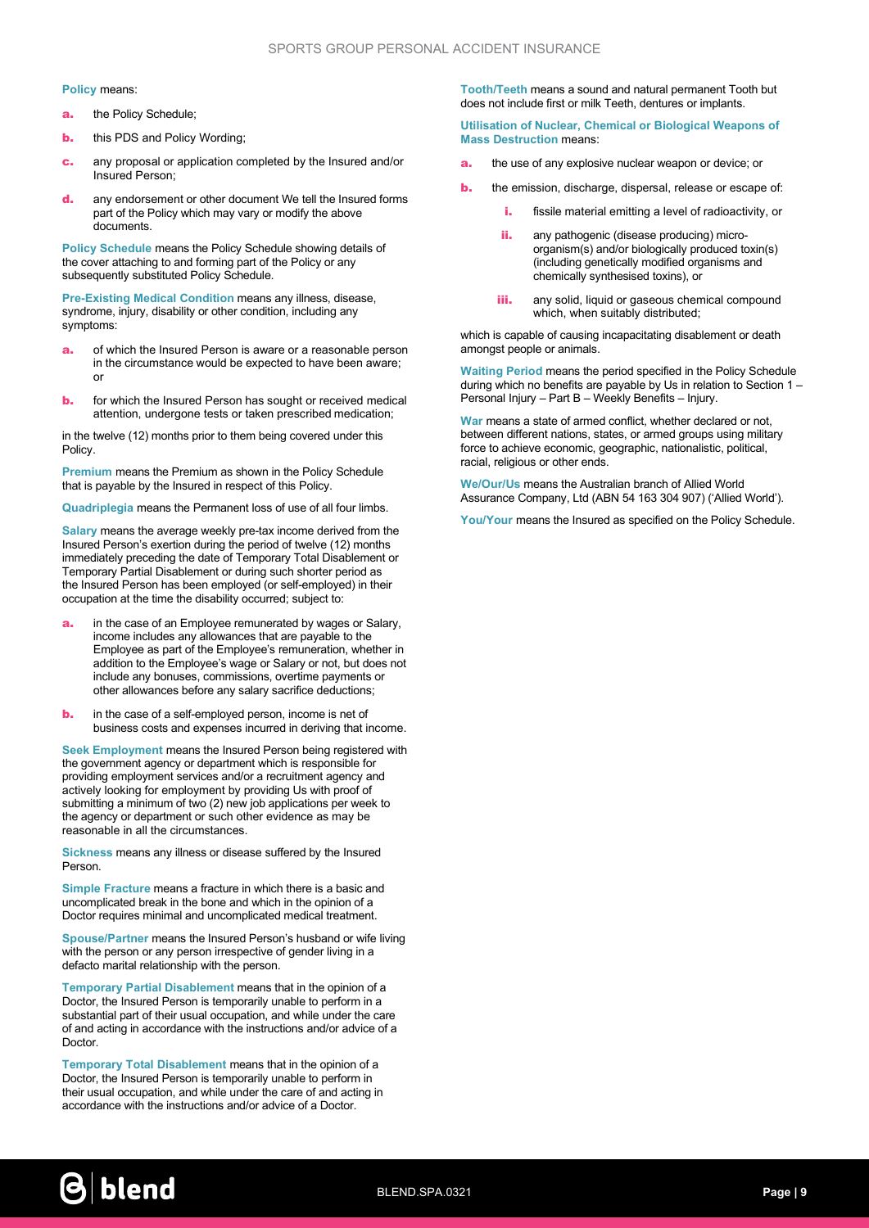#### Policy means:

- **a.** the Policy Schedule;
- **b.** this PDS and Policy Wording;
- **c.** any proposal or application completed by the Insured and/or Insured Person;
- d. any endorsement or other document We tell the Insured forms part of the Policy which may vary or modify the above documents.

Policy Schedule means the Policy Schedule showing details of the cover attaching to and forming part of the Policy or any subsequently substituted Policy Schedule.

Pre-Existing Medical Condition means any illness, disease, syndrome, injury, disability or other condition, including any symptoms:

- **a.** of which the Insured Person is aware or a reasonable person in the circumstance would be expected to have been aware; or
- **b.** for which the Insured Person has sought or received medical attention, undergone tests or taken prescribed medication;

in the twelve (12) months prior to them being covered under this Policy.

Premium means the Premium as shown in the Policy Schedule that is payable by the Insured in respect of this Policy.

Quadriplegia means the Permanent loss of use of all four limbs.

Salary means the average weekly pre-tax income derived from the Insured Person's exertion during the period of twelve (12) months immediately preceding the date of Temporary Total Disablement or Temporary Partial Disablement or during such shorter period as the Insured Person has been employed (or self-employed) in their occupation at the time the disability occurred; subject to:

- **a.** in the case of an Employee remunerated by wages or Salary, income includes any allowances that are payable to the Employee as part of the Employee's remuneration, whether in addition to the Employee's wage or Salary or not, but does not include any bonuses, commissions, overtime payments or other allowances before any salary sacrifice deductions;
- **b.** in the case of a self-employed person, income is net of business costs and expenses incurred in deriving that income.

Seek Employment means the Insured Person being registered with the government agency or department which is responsible for providing employment services and/or a recruitment agency and actively looking for employment by providing Us with proof of submitting a minimum of two (2) new job applications per week to the agency or department or such other evidence as may be reasonable in all the circumstances.

Sickness means any illness or disease suffered by the Insured Person.

Simple Fracture means a fracture in which there is a basic and uncomplicated break in the bone and which in the opinion of a Doctor requires minimal and uncomplicated medical treatment.

Spouse/Partner means the Insured Person's husband or wife living with the person or any person irrespective of gender living in a defacto marital relationship with the person.

Temporary Partial Disablement means that in the opinion of a Doctor, the Insured Person is temporarily unable to perform in a substantial part of their usual occupation, and while under the care of and acting in accordance with the instructions and/or advice of a Doctor.

Temporary Total Disablement means that in the opinion of a Doctor, the Insured Person is temporarily unable to perform in their usual occupation, and while under the care of and acting in accordance with the instructions and/or advice of a Doctor.

Tooth/Teeth means a sound and natural permanent Tooth but does not include first or milk Teeth, dentures or implants.

Utilisation of Nuclear, Chemical or Biological Weapons of Mass Destruction means:

- the use of any explosive nuclear weapon or device; or
- **b.** the emission, discharge, dispersal, release or escape of:
	- **i.** fissile material emitting a level of radioactivity, or
	- ii. any pathogenic (disease producing) microorganism(s) and/or biologically produced toxin(s) (including genetically modified organisms and chemically synthesised toxins), or
	- **iii.** any solid, liquid or gaseous chemical compound which, when suitably distributed;

which is capable of causing incapacitating disablement or death amongst people or animals.

Waiting Period means the period specified in the Policy Schedule during which no benefits are payable by Us in relation to Section 1 – Personal Injury – Part B – Weekly Benefits – Injury.

War means a state of armed conflict, whether declared or not, between different nations, states, or armed groups using military force to achieve economic, geographic, nationalistic, political, racial, religious or other ends.

We/Our/Us means the Australian branch of Allied World Assurance Company, Ltd (ABN 54 163 304 907) ('Allied World').

You/Your means the Insured as specified on the Policy Schedule.

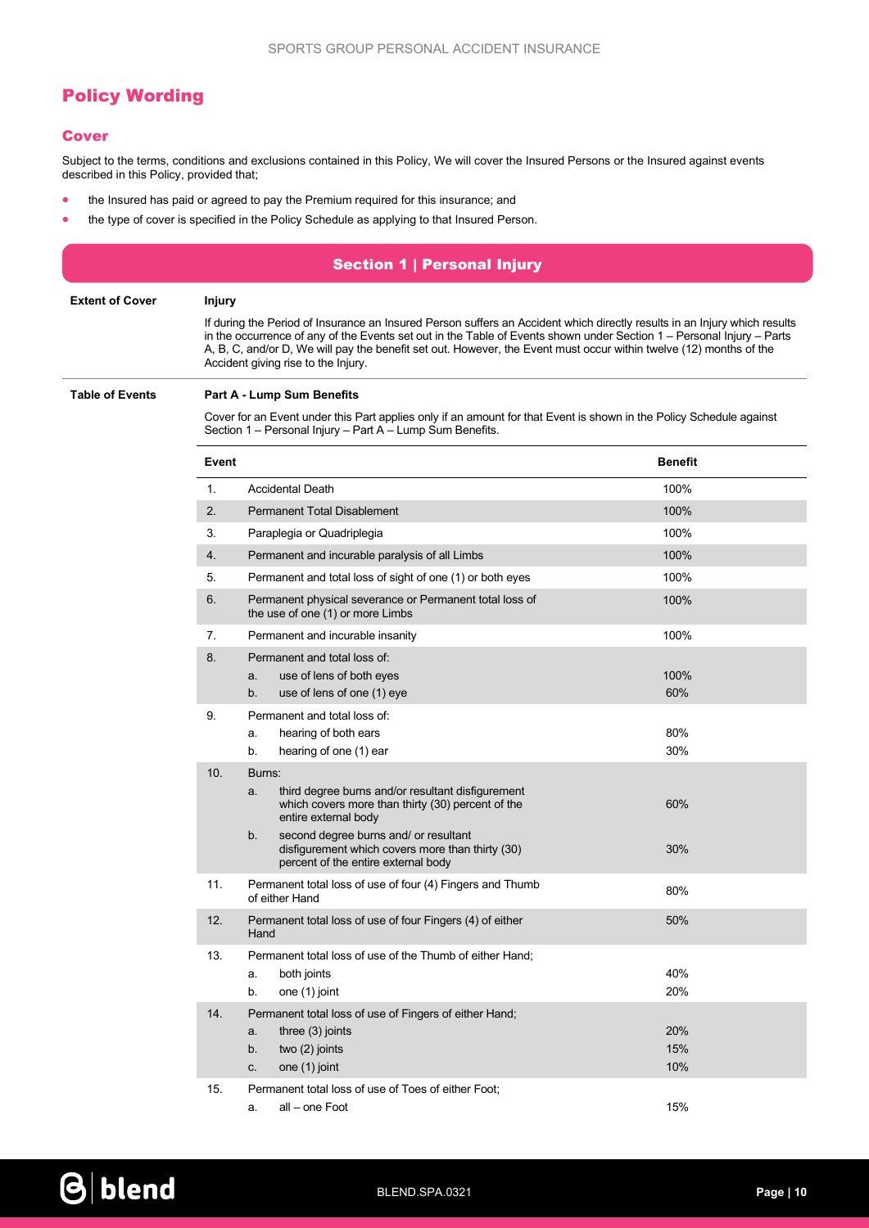## Policy Wording

## **Cover**

Subject to the terms, conditions and exclusions contained in this Policy, We will cover the Insured Persons or the Insured against events described in this Policy, provided that;

- the Insured has paid or agreed to pay the Premium required for this insurance; and
- the type of cover is specified in the Policy Schedule as applying to that Insured Person.

| <b>Section 1   Personal Injury</b> |                                                                                                                                            |                                                                                                                                                                                                                                                                                      |                |
|------------------------------------|--------------------------------------------------------------------------------------------------------------------------------------------|--------------------------------------------------------------------------------------------------------------------------------------------------------------------------------------------------------------------------------------------------------------------------------------|----------------|
| <b>Extent of Cover</b>             | <b>Injury</b><br>If during the Period of Insurance an Insured Person suffers an Accident which directly results in an Injury which results |                                                                                                                                                                                                                                                                                      |                |
|                                    |                                                                                                                                            | in the occurrence of any of the Events set out in the Table of Events shown under Section $1 -$ Personal Injury – Parts<br>A, B, C, and/or D, We will pay the benefit set out. However, the Event must occur within twelve (12) months of the<br>Accident giving rise to the Injury. |                |
| <b>Table of Events</b>             |                                                                                                                                            | <b>Part A - Lump Sum Benefits</b>                                                                                                                                                                                                                                                    |                |
|                                    |                                                                                                                                            | Cover for an Event under this Part applies only if an amount for that Event is shown in the Policy Schedule against<br>Section 1 - Personal Injury - Part A - Lump Sum Benefits.                                                                                                     |                |
|                                    | Event                                                                                                                                      |                                                                                                                                                                                                                                                                                      | <b>Benefit</b> |
|                                    | 1.                                                                                                                                         | <b>Accidental Death</b>                                                                                                                                                                                                                                                              | 100%           |
|                                    | 2.                                                                                                                                         | <b>Permanent Total Disablement</b>                                                                                                                                                                                                                                                   | 100%           |
|                                    | 3.                                                                                                                                         | Paraplegia or Quadriplegia                                                                                                                                                                                                                                                           | 100%           |
|                                    | 4.                                                                                                                                         | Permanent and incurable paralysis of all Limbs                                                                                                                                                                                                                                       | 100%           |
|                                    | 5.                                                                                                                                         | Permanent and total loss of sight of one (1) or both eyes                                                                                                                                                                                                                            | 100%           |
|                                    | 6.                                                                                                                                         | Permanent physical severance or Permanent total loss of<br>the use of one (1) or more Limbs                                                                                                                                                                                          | 100%           |
|                                    | 7.                                                                                                                                         | Permanent and incurable insanity                                                                                                                                                                                                                                                     | 100%           |
|                                    | 8.                                                                                                                                         | Permanent and total loss of:<br>use of lens of both eyes<br>a.<br>b.<br>use of lens of one (1) eye                                                                                                                                                                                   | 100%<br>60%    |
|                                    | 9.                                                                                                                                         | Permanent and total loss of:                                                                                                                                                                                                                                                         |                |
|                                    |                                                                                                                                            | hearing of both ears<br>a.                                                                                                                                                                                                                                                           | 80%            |
|                                    |                                                                                                                                            | b.<br>hearing of one (1) ear                                                                                                                                                                                                                                                         | 30%            |
|                                    | 10.                                                                                                                                        | Burns:<br>third degree burns and/or resultant disfigurement<br>a.<br>which covers more than thirty (30) percent of the<br>entire external body                                                                                                                                       | 60%            |
|                                    |                                                                                                                                            | second degree burns and/ or resultant<br>b.<br>disfigurement which covers more than thirty (30)<br>percent of the entire external body                                                                                                                                               | 30%            |
|                                    | 11.                                                                                                                                        | Permanent total loss of use of four (4) Fingers and Thumb<br>of either Hand                                                                                                                                                                                                          | 80%            |
|                                    | 12.                                                                                                                                        | Permanent total loss of use of four Fingers (4) of either<br>Hand                                                                                                                                                                                                                    | 50%            |
|                                    | 13.                                                                                                                                        | Permanent total loss of use of the Thumb of either Hand;                                                                                                                                                                                                                             |                |
|                                    |                                                                                                                                            | both joints<br>a.                                                                                                                                                                                                                                                                    | 40%            |
|                                    |                                                                                                                                            | one (1) joint<br>b.                                                                                                                                                                                                                                                                  | 20%            |
|                                    | 14.                                                                                                                                        | Permanent total loss of use of Fingers of either Hand;                                                                                                                                                                                                                               |                |
|                                    |                                                                                                                                            | three (3) joints<br>a.<br>two (2) joints<br>b.                                                                                                                                                                                                                                       | 20%<br>15%     |
|                                    |                                                                                                                                            | one (1) joint<br>C.                                                                                                                                                                                                                                                                  | 10%            |
|                                    | 15.                                                                                                                                        | Permanent total loss of use of Toes of either Foot;<br>all - one Foot<br>a.                                                                                                                                                                                                          | 15%            |

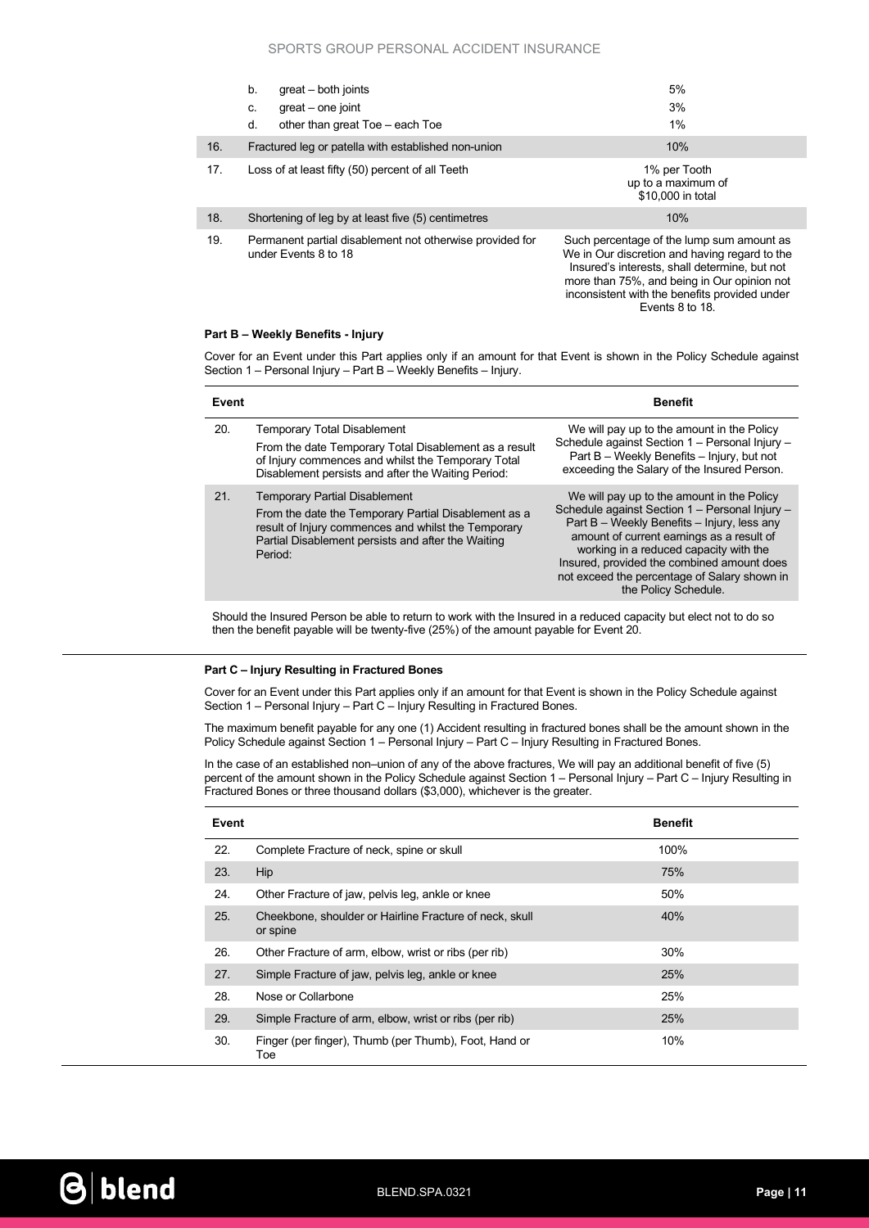#### SPORTS GROUP PERSONAL ACCIDENT INSURANCE

|     | b.<br>great – both joints<br>great - one joint<br>C.<br>d.<br>other than great Toe - each Toe | 5%<br>3%<br>$1\%$                                                                                                                                                                                                                                              |
|-----|-----------------------------------------------------------------------------------------------|----------------------------------------------------------------------------------------------------------------------------------------------------------------------------------------------------------------------------------------------------------------|
| 16. | Fractured leg or patella with established non-union                                           | 10%                                                                                                                                                                                                                                                            |
| 17. | Loss of at least fifty (50) percent of all Teeth                                              | 1% per Tooth<br>up to a maximum of<br>\$10,000 in total                                                                                                                                                                                                        |
| 18. | Shortening of leg by at least five (5) centimetres                                            | 10%                                                                                                                                                                                                                                                            |
| 19. | Permanent partial disablement not otherwise provided for<br>under Events 8 to 18              | Such percentage of the lump sum amount as<br>We in Our discretion and having regard to the<br>Insured's interests, shall determine, but not<br>more than 75%, and being in Our opinion not<br>inconsistent with the benefits provided under<br>Events 8 to 18. |

#### Part B – Weekly Benefits - Injury

Cover for an Event under this Part applies only if an amount for that Event is shown in the Policy Schedule against Section 1 – Personal Injury – Part B – Weekly Benefits – Injury.

| Event |                                                                                                                                                                                                                                  | <b>Benefit</b>                                                                                                                                                                                                                                                                                                                                           |
|-------|----------------------------------------------------------------------------------------------------------------------------------------------------------------------------------------------------------------------------------|----------------------------------------------------------------------------------------------------------------------------------------------------------------------------------------------------------------------------------------------------------------------------------------------------------------------------------------------------------|
| 20.   | Temporary Total Disablement<br>From the date Temporary Total Disablement as a result<br>of Injury commences and whilst the Temporary Total<br>Disablement persists and after the Waiting Period:                                 | We will pay up to the amount in the Policy<br>Schedule against Section 1 - Personal Injury -<br>Part B - Weekly Benefits - Injury, but not<br>exceeding the Salary of the Insured Person.                                                                                                                                                                |
| 21.   | <b>Temporary Partial Disablement</b><br>From the date the Temporary Partial Disablement as a<br>result of Injury commences and whilst the Temporary<br>Partial Disablement persists and after the Waiting<br>Period <sup>-</sup> | We will pay up to the amount in the Policy<br>Schedule against Section 1 - Personal Injury -<br>Part B - Weekly Benefits - Injury, less any<br>amount of current earnings as a result of<br>working in a reduced capacity with the<br>Insured, provided the combined amount does<br>not exceed the percentage of Salary shown in<br>the Policy Schedule. |

Should the Insured Person be able to return to work with the Insured in a reduced capacity but elect not to do so then the benefit payable will be twenty-five (25%) of the amount payable for Event 20.

#### Part C – Injury Resulting in Fractured Bones

Cover for an Event under this Part applies only if an amount for that Event is shown in the Policy Schedule against Section 1 – Personal Injury – Part C – Injury Resulting in Fractured Bones.

The maximum benefit payable for any one (1) Accident resulting in fractured bones shall be the amount shown in the Policy Schedule against Section 1 – Personal Injury – Part C – Injury Resulting in Fractured Bones.

In the case of an established non–union of any of the above fractures, We will pay an additional benefit of five (5) percent of the amount shown in the Policy Schedule against Section 1 – Personal Injury – Part C – Injury Resulting in Fractured Bones or three thousand dollars (\$3,000), whichever is the greater.

| Event |                                                                     | <b>Benefit</b> |
|-------|---------------------------------------------------------------------|----------------|
| 22.   | Complete Fracture of neck, spine or skull                           | 100%           |
| 23.   | Hip                                                                 | 75%            |
| 24.   | Other Fracture of jaw, pelvis leg, ankle or knee                    | 50%            |
| 25.   | Cheekbone, shoulder or Hairline Fracture of neck, skull<br>or spine | 40%            |
| 26.   | Other Fracture of arm, elbow, wrist or ribs (per rib)               | 30%            |
| 27.   | Simple Fracture of jaw, pelvis leg, ankle or knee                   | 25%            |
| 28.   | Nose or Collarbone                                                  | 25%            |
| 29.   | Simple Fracture of arm, elbow, wrist or ribs (per rib)              | 25%            |
| 30.   | Finger (per finger), Thumb (per Thumb), Foot, Hand or<br>Toe        | 10%            |

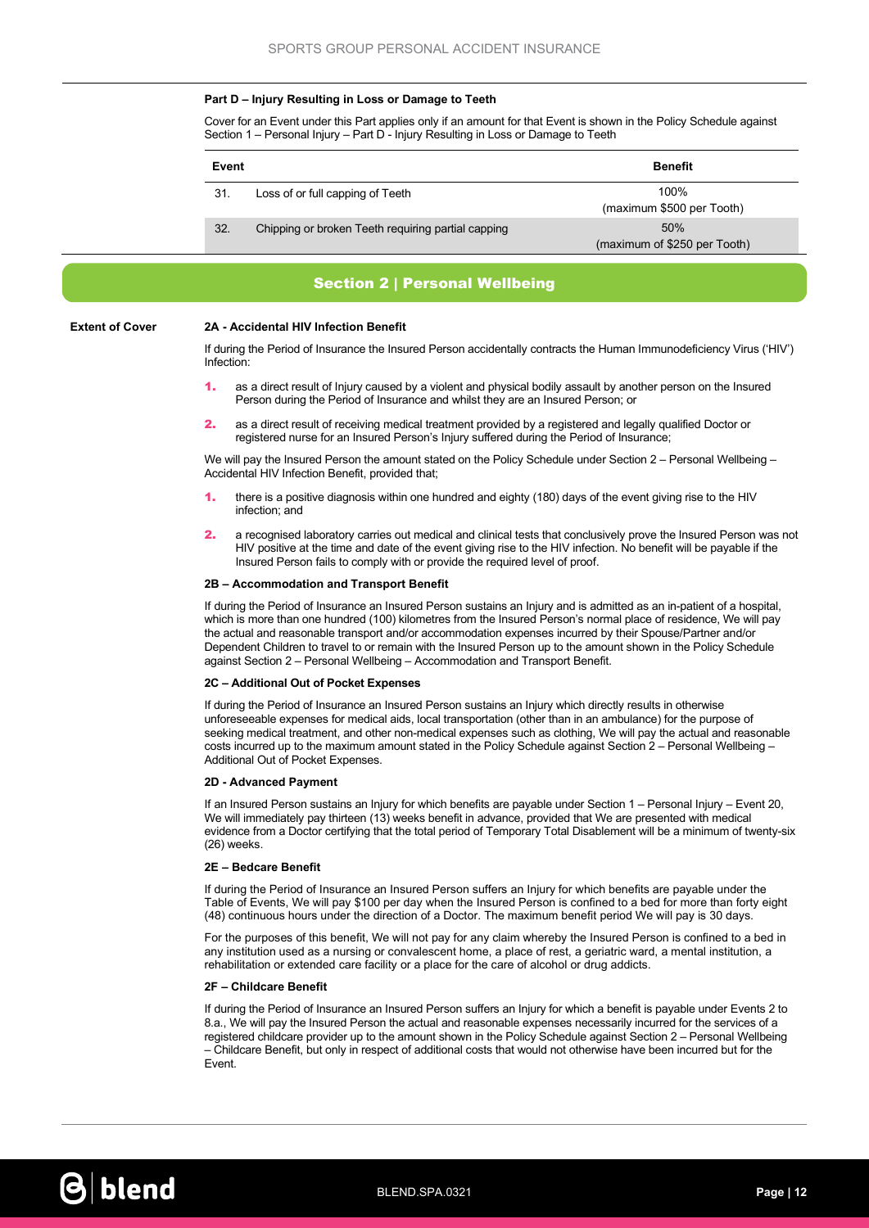#### Part D – Injury Resulting in Loss or Damage to Teeth

Cover for an Event under this Part applies only if an amount for that Event is shown in the Policy Schedule against Section 1 – Personal Injury – Part D - Injury Resulting in Loss or Damage to Teeth

| Event |                                                    | <b>Benefit</b>                      |  |
|-------|----------------------------------------------------|-------------------------------------|--|
| 31.   | Loss of or full capping of Teeth                   | 100%<br>(maximum \$500 per Tooth)   |  |
| 32.   | Chipping or broken Teeth requiring partial capping | 50%<br>(maximum of \$250 per Tooth) |  |

## Section 2 | Personal Wellbeing

#### Extent of Cover 2A - Accidental HIV Infection Benefit

If during the Period of Insurance the Insured Person accidentally contracts the Human Immunodeficiency Virus ('HIV') Infection:

- 1. as a direct result of Injury caused by a violent and physical bodily assault by another person on the Insured Person during the Period of Insurance and whilst they are an Insured Person; or
- 2. as a direct result of receiving medical treatment provided by a registered and legally qualified Doctor or registered nurse for an Insured Person's Injury suffered during the Period of Insurance;

We will pay the Insured Person the amount stated on the Policy Schedule under Section 2 – Personal Wellbeing – Accidental HIV Infection Benefit, provided that;

- 1. there is a positive diagnosis within one hundred and eighty (180) days of the event giving rise to the HIV infection; and
- 2. a recognised laboratory carries out medical and clinical tests that conclusively prove the Insured Person was not HIV positive at the time and date of the event giving rise to the HIV infection. No benefit will be payable if the Insured Person fails to comply with or provide the required level of proof.

#### 2B – Accommodation and Transport Benefit

If during the Period of Insurance an Insured Person sustains an Injury and is admitted as an in-patient of a hospital, which is more than one hundred (100) kilometres from the Insured Person's normal place of residence, We will pay the actual and reasonable transport and/or accommodation expenses incurred by their Spouse/Partner and/or Dependent Children to travel to or remain with the Insured Person up to the amount shown in the Policy Schedule against Section 2 – Personal Wellbeing – Accommodation and Transport Benefit.

#### 2C – Additional Out of Pocket Expenses

If during the Period of Insurance an Insured Person sustains an Injury which directly results in otherwise unforeseeable expenses for medical aids, local transportation (other than in an ambulance) for the purpose of seeking medical treatment, and other non-medical expenses such as clothing, We will pay the actual and reasonable costs incurred up to the maximum amount stated in the Policy Schedule against Section 2 – Personal Wellbeing – Additional Out of Pocket Expenses.

#### 2D - Advanced Payment

If an Insured Person sustains an Injury for which benefits are payable under Section 1 – Personal Injury – Event 20, We will immediately pay thirteen (13) weeks benefit in advance, provided that We are presented with medical evidence from a Doctor certifying that the total period of Temporary Total Disablement will be a minimum of twenty-six (26) weeks.

#### 2E – Bedcare Benefit

If during the Period of Insurance an Insured Person suffers an Injury for which benefits are payable under the Table of Events, We will pay \$100 per day when the Insured Person is confined to a bed for more than forty eight (48) continuous hours under the direction of a Doctor. The maximum benefit period We will pay is 30 days.

For the purposes of this benefit, We will not pay for any claim whereby the Insured Person is confined to a bed in any institution used as a nursing or convalescent home, a place of rest, a geriatric ward, a mental institution, a rehabilitation or extended care facility or a place for the care of alcohol or drug addicts.

#### 2F – Childcare Benefit

If during the Period of Insurance an Insured Person suffers an Injury for which a benefit is payable under Events 2 to 8.a., We will pay the Insured Person the actual and reasonable expenses necessarily incurred for the services of a registered childcare provider up to the amount shown in the Policy Schedule against Section 2 – Personal Wellbeing – Childcare Benefit, but only in respect of additional costs that would not otherwise have been incurred but for the Event.

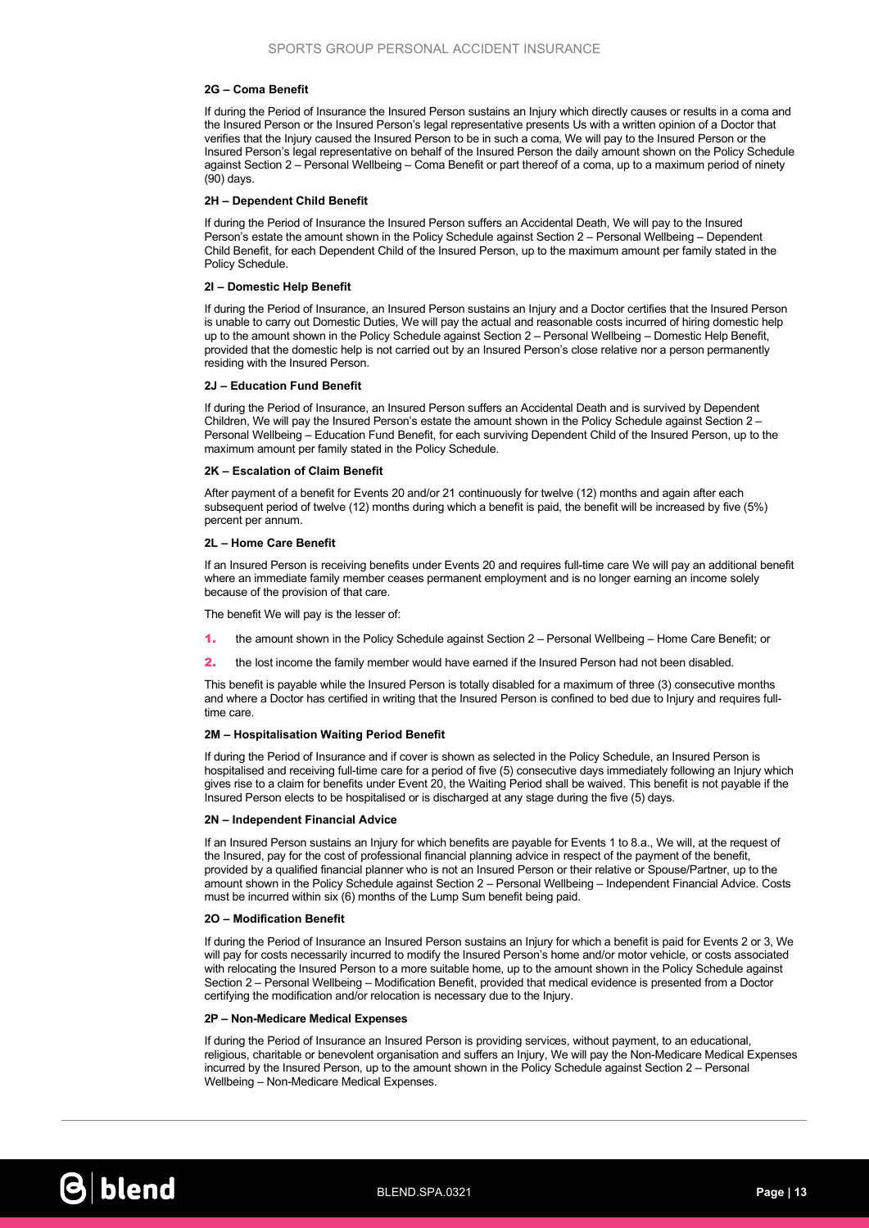#### 2G – Coma Benefit

If during the Period of Insurance the Insured Person sustains an Injury which directly causes or results in a coma and the Insured Person or the Insured Person's legal representative presents Us with a written opinion of a Doctor that verifies that the Injury caused the Insured Person to be in such a coma, We will pay to the Insured Person or the Insured Person's legal representative on behalf of the Insured Person the daily amount shown on the Policy Schedule against Section 2 – Personal Wellbeing – Coma Benefit or part thereof of a coma, up to a maximum period of ninety (90) days.

#### 2H – Dependent Child Benefit

If during the Period of Insurance the Insured Person suffers an Accidental Death, We will pay to the Insured Person's estate the amount shown in the Policy Schedule against Section 2 – Personal Wellbeing – Dependent Child Benefit, for each Dependent Child of the Insured Person, up to the maximum amount per family stated in the Policy Schedule.

#### 2I – Domestic Help Benefit

If during the Period of Insurance, an Insured Person sustains an Injury and a Doctor certifies that the Insured Person is unable to carry out Domestic Duties, We will pay the actual and reasonable costs incurred of hiring domestic help up to the amount shown in the Policy Schedule against Section 2 – Personal Wellbeing – Domestic Help Benefit, provided that the domestic help is not carried out by an Insured Person's close relative nor a person permanently residing with the Insured Person.

#### 2J – Education Fund Benefit

If during the Period of Insurance, an Insured Person suffers an Accidental Death and is survived by Dependent Children, We will pay the Insured Person's estate the amount shown in the Policy Schedule against Section 2 – Personal Wellbeing – Education Fund Benefit, for each surviving Dependent Child of the Insured Person, up to the maximum amount per family stated in the Policy Schedule.

#### 2K – Escalation of Claim Benefit

After payment of a benefit for Events 20 and/or 21 continuously for twelve (12) months and again after each subsequent period of twelve (12) months during which a benefit is paid, the benefit will be increased by five (5%) percent per annum.

#### 2L – Home Care Benefit

If an Insured Person is receiving benefits under Events 20 and requires full-time care We will pay an additional benefit where an immediate family member ceases permanent employment and is no longer earning an income solely because of the provision of that care.

The benefit We will pay is the lesser of:

- 1. the amount shown in the Policy Schedule against Section 2 Personal Wellbeing Home Care Benefit; or
- 2. the lost income the family member would have earned if the Insured Person had not been disabled.

This benefit is payable while the Insured Person is totally disabled for a maximum of three (3) consecutive months and where a Doctor has certified in writing that the Insured Person is confined to bed due to Injury and requires fulltime care.

#### 2M – Hospitalisation Waiting Period Benefit

If during the Period of Insurance and if cover is shown as selected in the Policy Schedule, an Insured Person is hospitalised and receiving full-time care for a period of five (5) consecutive days immediately following an Injury which gives rise to a claim for benefits under Event 20, the Waiting Period shall be waived. This benefit is not payable if the Insured Person elects to be hospitalised or is discharged at any stage during the five (5) days.

#### 2N – Independent Financial Advice

If an Insured Person sustains an Injury for which benefits are payable for Events 1 to 8.a., We will, at the request of the Insured, pay for the cost of professional financial planning advice in respect of the payment of the benefit, provided by a qualified financial planner who is not an Insured Person or their relative or Spouse/Partner, up to the amount shown in the Policy Schedule against Section 2 – Personal Wellbeing – Independent Financial Advice. Costs must be incurred within six (6) months of the Lump Sum benefit being paid.

#### 2O – Modification Benefit

If during the Period of Insurance an Insured Person sustains an Injury for which a benefit is paid for Events 2 or 3, We will pay for costs necessarily incurred to modify the Insured Person's home and/or motor vehicle, or costs associated with relocating the Insured Person to a more suitable home, up to the amount shown in the Policy Schedule against Section 2 – Personal Wellbeing – Modification Benefit, provided that medical evidence is presented from a Doctor certifying the modification and/or relocation is necessary due to the Injury.

#### 2P – Non-Medicare Medical Expenses

If during the Period of Insurance an Insured Person is providing services, without payment, to an educational, religious, charitable or benevolent organisation and suffers an Injury, We will pay the Non-Medicare Medical Expenses incurred by the Insured Person, up to the amount shown in the Policy Schedule against Section 2 – Personal Wellbeing – Non-Medicare Medical Expenses.

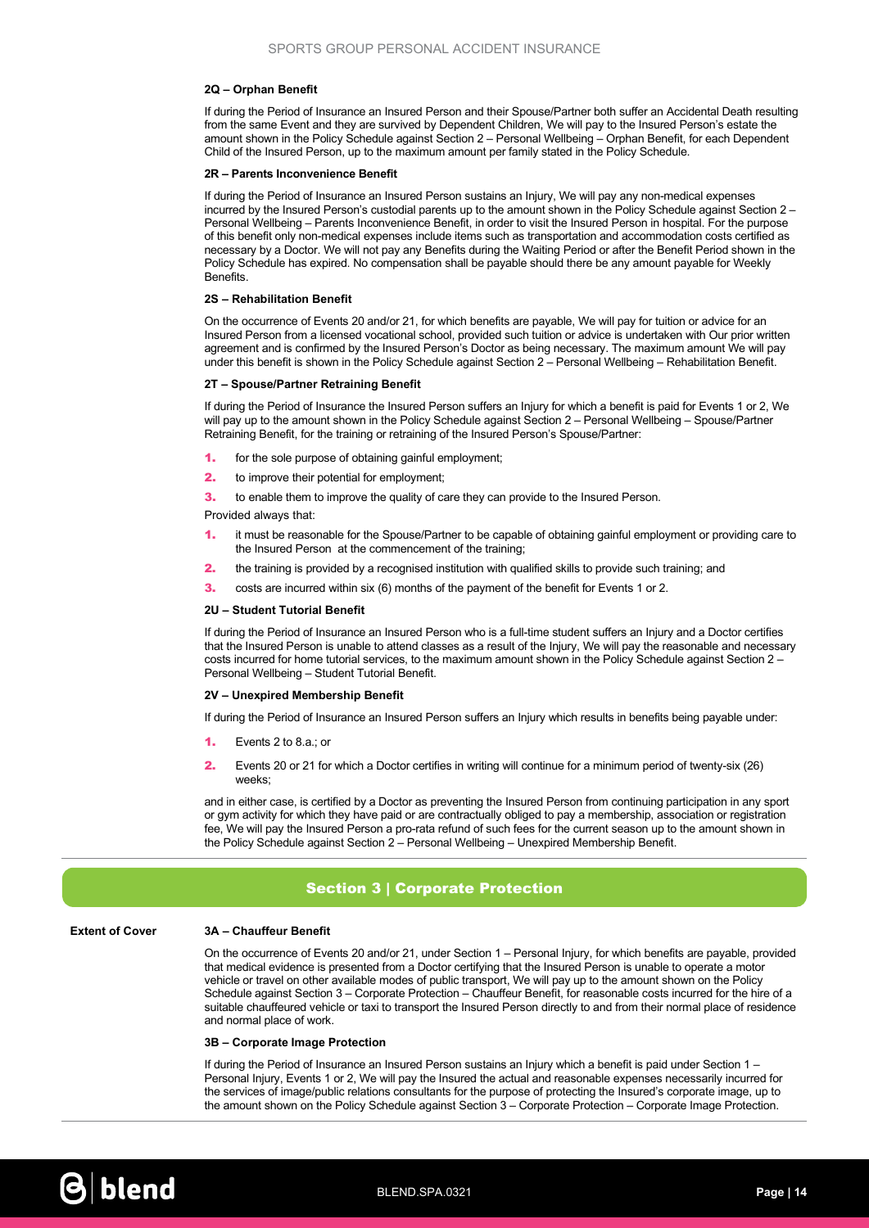#### 2Q – Orphan Benefit

If during the Period of Insurance an Insured Person and their Spouse/Partner both suffer an Accidental Death resulting from the same Event and they are survived by Dependent Children, We will pay to the Insured Person's estate the amount shown in the Policy Schedule against Section 2 – Personal Wellbeing – Orphan Benefit, for each Dependent Child of the Insured Person, up to the maximum amount per family stated in the Policy Schedule.

#### 2R – Parents Inconvenience Benefit

If during the Period of Insurance an Insured Person sustains an Injury, We will pay any non-medical expenses incurred by the Insured Person's custodial parents up to the amount shown in the Policy Schedule against Section 2 – Personal Wellbeing – Parents Inconvenience Benefit, in order to visit the Insured Person in hospital. For the purpose of this benefit only non-medical expenses include items such as transportation and accommodation costs certified as necessary by a Doctor. We will not pay any Benefits during the Waiting Period or after the Benefit Period shown in the Policy Schedule has expired. No compensation shall be payable should there be any amount payable for Weekly Benefits.

#### 2S – Rehabilitation Benefit

On the occurrence of Events 20 and/or 21, for which benefits are payable, We will pay for tuition or advice for an Insured Person from a licensed vocational school, provided such tuition or advice is undertaken with Our prior written agreement and is confirmed by the Insured Person's Doctor as being necessary. The maximum amount We will pay under this benefit is shown in the Policy Schedule against Section 2 – Personal Wellbeing – Rehabilitation Benefit.

#### 2T – Spouse/Partner Retraining Benefit

If during the Period of Insurance the Insured Person suffers an Injury for which a benefit is paid for Events 1 or 2, We will pay up to the amount shown in the Policy Schedule against Section 2 – Personal Wellbeing – Spouse/Partner Retraining Benefit, for the training or retraining of the Insured Person's Spouse/Partner:

- 1. for the sole purpose of obtaining gainful employment;
- **2.** to improve their potential for employment;
- **3.** to enable them to improve the quality of care they can provide to the Insured Person.

Provided always that:

- 1. it must be reasonable for the Spouse/Partner to be capable of obtaining gainful employment or providing care to the Insured Person at the commencement of the training;
- 2. the training is provided by a recognised institution with qualified skills to provide such training; and
- 3. costs are incurred within six (6) months of the payment of the benefit for Events 1 or 2.

#### 2U – Student Tutorial Benefit

If during the Period of Insurance an Insured Person who is a full-time student suffers an Injury and a Doctor certifies that the Insured Person is unable to attend classes as a result of the Injury, We will pay the reasonable and necessary costs incurred for home tutorial services, to the maximum amount shown in the Policy Schedule against Section 2 – Personal Wellbeing – Student Tutorial Benefit.

#### 2V – Unexpired Membership Benefit

If during the Period of Insurance an Insured Person suffers an Injury which results in benefits being payable under:

- 1. Fyents  $2 \text{ to } 8 \text{ a} \cdot \text{ or}$
- 2. Events 20 or 21 for which a Doctor certifies in writing will continue for a minimum period of twenty-six (26) weeks;

and in either case, is certified by a Doctor as preventing the Insured Person from continuing participation in any sport or gym activity for which they have paid or are contractually obliged to pay a membership, association or registration fee, We will pay the Insured Person a pro-rata refund of such fees for the current season up to the amount shown in the Policy Schedule against Section 2 – Personal Wellbeing – Unexpired Membership Benefit.

## Section 3 | Corporate Protection

#### Extent of Cover 3A – Chauffeur Benefit

On the occurrence of Events 20 and/or 21, under Section 1 – Personal Injury, for which benefits are payable, provided that medical evidence is presented from a Doctor certifying that the Insured Person is unable to operate a motor vehicle or travel on other available modes of public transport, We will pay up to the amount shown on the Policy Schedule against Section 3 – Corporate Protection – Chauffeur Benefit, for reasonable costs incurred for the hire of a suitable chauffeured vehicle or taxi to transport the Insured Person directly to and from their normal place of residence and normal place of work.

#### 3B – Corporate Image Protection

If during the Period of Insurance an Insured Person sustains an Injury which a benefit is paid under Section 1 – Personal Injury, Events 1 or 2, We will pay the Insured the actual and reasonable expenses necessarily incurred for the services of image/public relations consultants for the purpose of protecting the Insured's corporate image, up to the amount shown on the Policy Schedule against Section 3 – Corporate Protection – Corporate Image Protection.

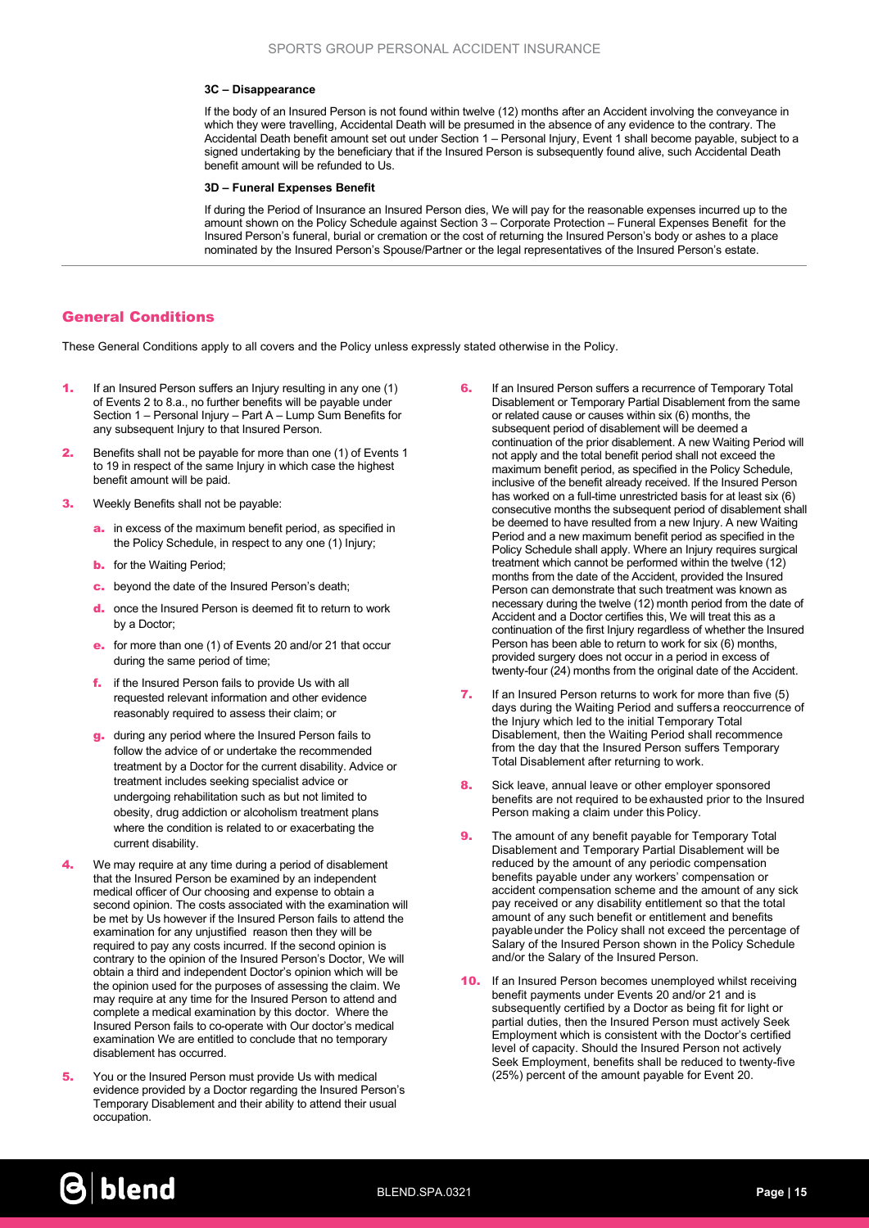#### 3C – Disappearance

If the body of an Insured Person is not found within twelve (12) months after an Accident involving the conveyance in which they were travelling, Accidental Death will be presumed in the absence of any evidence to the contrary. The Accidental Death benefit amount set out under Section 1 – Personal Injury, Event 1 shall become payable, subject to a signed undertaking by the beneficiary that if the Insured Person is subsequently found alive, such Accidental Death benefit amount will be refunded to Us.

#### 3D – Funeral Expenses Benefit

If during the Period of Insurance an Insured Person dies, We will pay for the reasonable expenses incurred up to the amount shown on the Policy Schedule against Section 3 – Corporate Protection – Funeral Expenses Benefit for the Insured Person's funeral, burial or cremation or the cost of returning the Insured Person's body or ashes to a place nominated by the Insured Person's Spouse/Partner or the legal representatives of the Insured Person's estate.

## General Conditions

These General Conditions apply to all covers and the Policy unless expressly stated otherwise in the Policy.

- If an Insured Person suffers an Injury resulting in any one (1) of Events 2 to 8.a., no further benefits will be payable under Section 1 – Personal Injury – Part A – Lump Sum Benefits for any subsequent Injury to that Insured Person.
- **2.** Benefits shall not be payable for more than one (1) of Events 1 to 19 in respect of the same Injury in which case the highest benefit amount will be paid.
- 3. Weekly Benefits shall not be payable:
	- a. in excess of the maximum benefit period, as specified in the Policy Schedule, in respect to any one (1) Injury;
	- **b.** for the Waiting Period;
	- c. beyond the date of the Insured Person's death;
	- d. once the Insured Person is deemed fit to return to work by a Doctor;
	- e. for more than one (1) of Events 20 and/or 21 that occur during the same period of time;
	- f. if the Insured Person fails to provide Us with all requested relevant information and other evidence reasonably required to assess their claim; or
	- g. during any period where the Insured Person fails to follow the advice of or undertake the recommended treatment by a Doctor for the current disability. Advice or treatment includes seeking specialist advice or undergoing rehabilitation such as but not limited to obesity, drug addiction or alcoholism treatment plans where the condition is related to or exacerbating the current disability.
- 4. We may require at any time during a period of disablement that the Insured Person be examined by an independent medical officer of Our choosing and expense to obtain a second opinion. The costs associated with the examination will be met by Us however if the Insured Person fails to attend the examination for any unjustified reason then they will be required to pay any costs incurred. If the second opinion is contrary to the opinion of the Insured Person's Doctor, We will obtain a third and independent Doctor's opinion which will be the opinion used for the purposes of assessing the claim. We may require at any time for the Insured Person to attend and complete a medical examination by this doctor. Where the Insured Person fails to co-operate with Our doctor's medical examination We are entitled to conclude that no temporary disablement has occurred.
- **5.** You or the Insured Person must provide Us with medical evidence provided by a Doctor regarding the Insured Person's Temporary Disablement and their ability to attend their usual occupation.
- **6.** If an Insured Person suffers a recurrence of Temporary Total Disablement or Temporary Partial Disablement from the same or related cause or causes within six (6) months, the subsequent period of disablement will be deemed a continuation of the prior disablement. A new Waiting Period will not apply and the total benefit period shall not exceed the maximum benefit period, as specified in the Policy Schedule, inclusive of the benefit already received. If the Insured Person has worked on a full-time unrestricted basis for at least six (6) consecutive months the subsequent period of disablement shall be deemed to have resulted from a new Injury. A new Waiting Period and a new maximum benefit period as specified in the Policy Schedule shall apply. Where an Injury requires surgical treatment which cannot be performed within the twelve (12) months from the date of the Accident, provided the Insured Person can demonstrate that such treatment was known as necessary during the twelve (12) month period from the date of Accident and a Doctor certifies this, We will treat this as a continuation of the first Injury regardless of whether the Insured Person has been able to return to work for six (6) months, provided surgery does not occur in a period in excess of twenty-four (24) months from the original date of the Accident.
- 7. If an Insured Person returns to work for more than five (5) days during the Waiting Period and suffers a reoccurrence of the Injury which led to the initial Temporary Total Disablement, then the Waiting Period shall recommence from the day that the Insured Person suffers Temporary Total Disablement after returning to work.
- 8. Sick leave, annual leave or other employer sponsored benefits are not required to be exhausted prior to the Insured Person making a claim under this Policy.
- **9.** The amount of any benefit payable for Temporary Total Disablement and Temporary Partial Disablement will be reduced by the amount of any periodic compensation benefits payable under any workers' compensation or accident compensation scheme and the amount of any sick pay received or any disability entitlement so that the total amount of any such benefit or entitlement and benefits payable under the Policy shall not exceed the percentage of Salary of the Insured Person shown in the Policy Schedule and/or the Salary of the Insured Person.
- **10.** If an Insured Person becomes unemployed whilst receiving benefit payments under Events 20 and/or 21 and is subsequently certified by a Doctor as being fit for light or partial duties, then the Insured Person must actively Seek Employment which is consistent with the Doctor's certified level of capacity. Should the Insured Person not actively Seek Employment, benefits shall be reduced to twenty-five (25%) percent of the amount payable for Event 20.

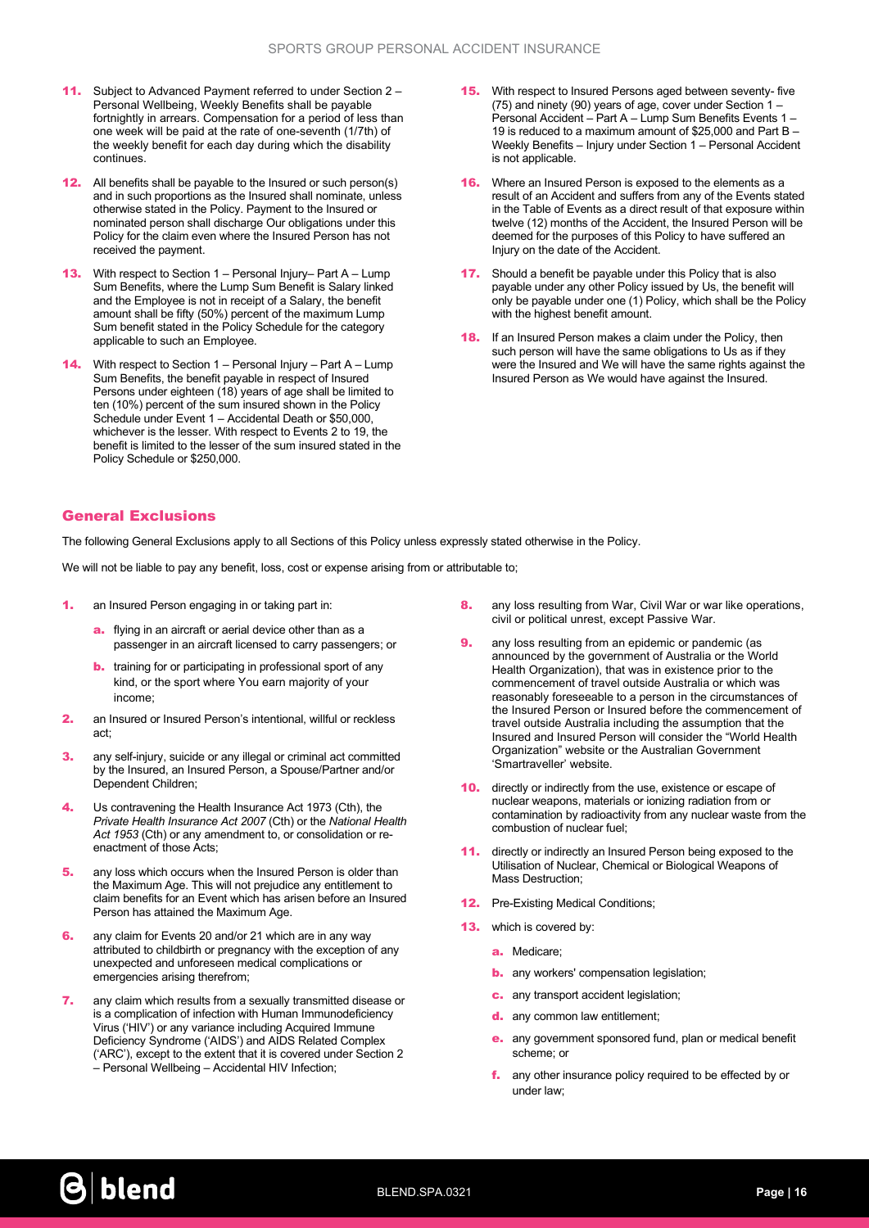- 11. Subject to Advanced Payment referred to under Section 2 Personal Wellbeing, Weekly Benefits shall be payable fortnightly in arrears. Compensation for a period of less than one week will be paid at the rate of one-seventh (1/7th) of the weekly benefit for each day during which the disability continues.
- **12.** All benefits shall be payable to the Insured or such person(s) and in such proportions as the Insured shall nominate, unless otherwise stated in the Policy. Payment to the Insured or nominated person shall discharge Our obligations under this Policy for the claim even where the Insured Person has not received the payment.
- **13.** With respect to Section  $1 -$  Personal Injury– Part A Lump Sum Benefits, where the Lump Sum Benefit is Salary linked and the Employee is not in receipt of a Salary, the benefit amount shall be fifty (50%) percent of the maximum Lump Sum benefit stated in the Policy Schedule for the category applicable to such an Employee.
- 14. With respect to Section 1 Personal Injury Part A Lump Sum Benefits, the benefit payable in respect of Insured Persons under eighteen (18) years of age shall be limited to ten (10%) percent of the sum insured shown in the Policy Schedule under Event 1 – Accidental Death or \$50,000, whichever is the lesser. With respect to Events 2 to 19, the benefit is limited to the lesser of the sum insured stated in the Policy Schedule or \$250,000.
- **15.** With respect to Insured Persons aged between seventy- five (75) and ninety (90) years of age, cover under Section 1 – Personal Accident – Part A – Lump Sum Benefits Events 1 – 19 is reduced to a maximum amount of \$25,000 and Part B – Weekly Benefits – Injury under Section 1 – Personal Accident is not applicable.
- **16.** Where an Insured Person is exposed to the elements as a result of an Accident and suffers from any of the Events stated in the Table of Events as a direct result of that exposure within twelve (12) months of the Accident, the Insured Person will be deemed for the purposes of this Policy to have suffered an Injury on the date of the Accident.
- **17.** Should a benefit be payable under this Policy that is also payable under any other Policy issued by Us, the benefit will only be payable under one (1) Policy, which shall be the Policy with the highest benefit amount.
- **18.** If an Insured Person makes a claim under the Policy, then such person will have the same obligations to Us as if they were the Insured and We will have the same rights against the Insured Person as We would have against the Insured.

## General Exclusions

The following General Exclusions apply to all Sections of this Policy unless expressly stated otherwise in the Policy.

We will not be liable to pay any benefit, loss, cost or expense arising from or attributable to;

- 1. an Insured Person engaging in or taking part in:
	- a. flying in an aircraft or aerial device other than as a passenger in an aircraft licensed to carry passengers; or
	- **b.** training for or participating in professional sport of any kind, or the sport where You earn majority of your income;
- 2. an Insured or Insured Person's intentional, willful or reckless act;
- **3.** any self-injury, suicide or any illegal or criminal act committed by the Insured, an Insured Person, a Spouse/Partner and/or Dependent Children;
- 4. Us contravening the Health Insurance Act 1973 (Cth), the Private Health Insurance Act 2007 (Cth) or the National Health Act 1953 (Cth) or any amendment to, or consolidation or reenactment of those Acts;
- **5.** any loss which occurs when the Insured Person is older than the Maximum Age. This will not prejudice any entitlement to claim benefits for an Event which has arisen before an Insured Person has attained the Maximum Age.
- 6. any claim for Events 20 and/or 21 which are in any way attributed to childbirth or pregnancy with the exception of any unexpected and unforeseen medical complications or emergencies arising therefrom;
- 7. any claim which results from a sexually transmitted disease or is a complication of infection with Human Immunodeficiency Virus ('HIV') or any variance including Acquired Immune Deficiency Syndrome ('AIDS') and AIDS Related Complex ('ARC'), except to the extent that it is covered under Section 2 – Personal Wellbeing – Accidental HIV Infection;
- 8. any loss resulting from War, Civil War or war like operations, civil or political unrest, except Passive War.
- **9.** any loss resulting from an epidemic or pandemic (as announced by the government of Australia or the World Health Organization), that was in existence prior to the commencement of travel outside Australia or which was reasonably foreseeable to a person in the circumstances of the Insured Person or Insured before the commencement of travel outside Australia including the assumption that the Insured and Insured Person will consider the "World Health Organization" website or the Australian Government 'Smartraveller' website.
- **10.** directly or indirectly from the use, existence or escape of nuclear weapons, materials or ionizing radiation from or contamination by radioactivity from any nuclear waste from the combustion of nuclear fuel;
- 11. directly or indirectly an Insured Person being exposed to the Utilisation of Nuclear, Chemical or Biological Weapons of Mass Destruction;
- **12.** Pre-Existing Medical Conditions;
- **13.** which is covered by:
	- a. Medicare;
	- **b.** any workers' compensation legislation;
	- c. any transport accident legislation;
	- d. any common law entitlement:
	- e. any government sponsored fund, plan or medical benefit scheme; or
	- f. any other insurance policy required to be effected by or under law;

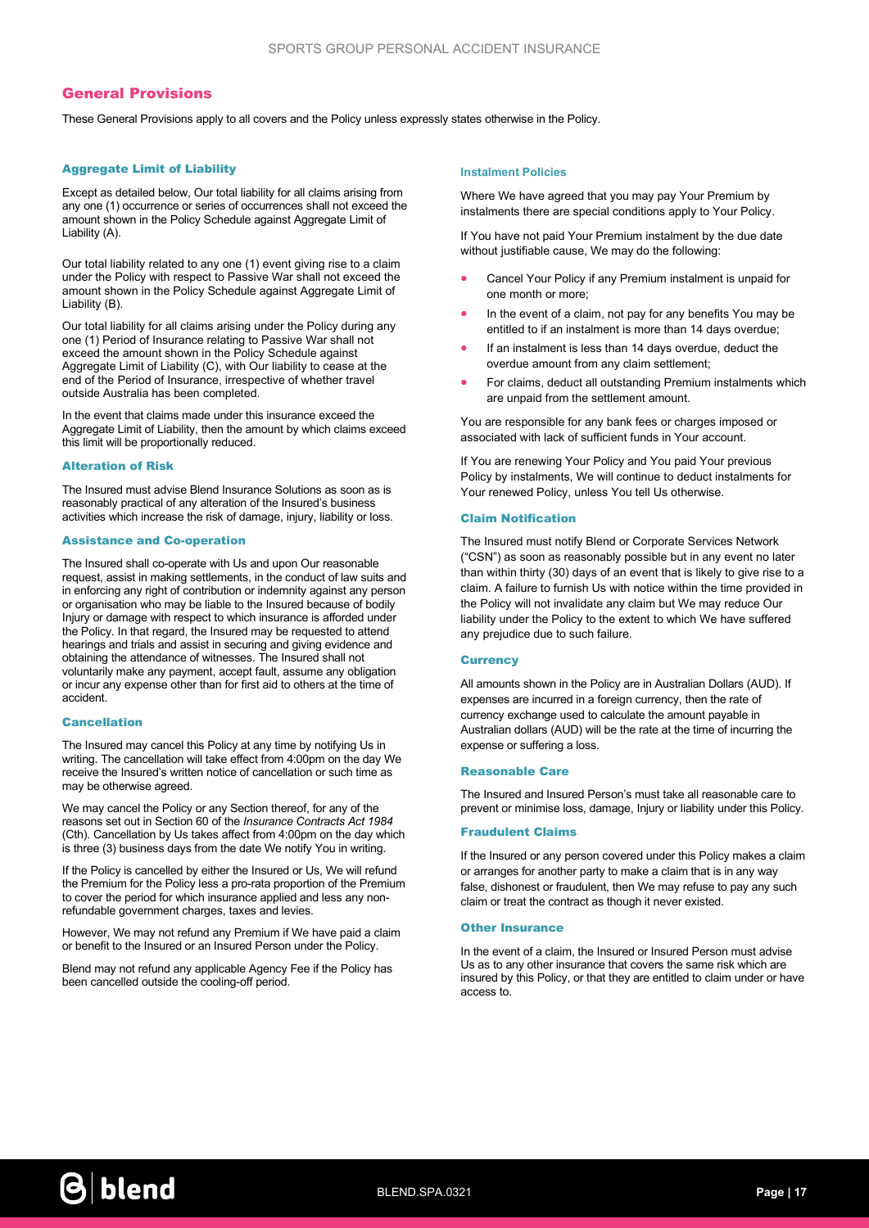## General Provisions

These General Provisions apply to all covers and the Policy unless expressly states otherwise in the Policy.

#### Aggregate Limit of Liability

Except as detailed below, Our total liability for all claims arising from any one (1) occurrence or series of occurrences shall not exceed the amount shown in the Policy Schedule against Aggregate Limit of Liability (A).

Our total liability related to any one (1) event giving rise to a claim under the Policy with respect to Passive War shall not exceed the amount shown in the Policy Schedule against Aggregate Limit of Liability (B).

Our total liability for all claims arising under the Policy during any one (1) Period of Insurance relating to Passive War shall not exceed the amount shown in the Policy Schedule against Aggregate Limit of Liability (C), with Our liability to cease at the end of the Period of Insurance, irrespective of whether travel outside Australia has been completed.

In the event that claims made under this insurance exceed the Aggregate Limit of Liability, then the amount by which claims exceed this limit will be proportionally reduced.

#### Alteration of Risk

The Insured must advise Blend Insurance Solutions as soon as is reasonably practical of any alteration of the Insured's business activities which increase the risk of damage, injury, liability or loss.

#### Assistance and Co-operation

The Insured shall co-operate with Us and upon Our reasonable request, assist in making settlements, in the conduct of law suits and in enforcing any right of contribution or indemnity against any person or organisation who may be liable to the Insured because of bodily Injury or damage with respect to which insurance is afforded under the Policy. In that regard, the Insured may be requested to attend hearings and trials and assist in securing and giving evidence and obtaining the attendance of witnesses. The Insured shall not voluntarily make any payment, accept fault, assume any obligation or incur any expense other than for first aid to others at the time of accident.

#### Cancellation

The Insured may cancel this Policy at any time by notifying Us in writing. The cancellation will take effect from 4:00pm on the day We receive the Insured's written notice of cancellation or such time as may be otherwise agreed.

We may cancel the Policy or any Section thereof, for any of the reasons set out in Section 60 of the Insurance Contracts Act 1984 (Cth). Cancellation by Us takes affect from 4:00pm on the day which is three (3) business days from the date We notify You in writing.

If the Policy is cancelled by either the Insured or Us, We will refund the Premium for the Policy less a pro-rata proportion of the Premium to cover the period for which insurance applied and less any nonrefundable government charges, taxes and levies.

However, We may not refund any Premium if We have paid a claim or benefit to the Insured or an Insured Person under the Policy.

Blend may not refund any applicable Agency Fee if the Policy has been cancelled outside the cooling-off period.

#### Instalment Policies

Where We have agreed that you may pay Your Premium by instalments there are special conditions apply to Your Policy.

If You have not paid Your Premium instalment by the due date without justifiable cause, We may do the following:

- Cancel Your Policy if any Premium instalment is unpaid for one month or more;
- In the event of a claim, not pay for any benefits You may be entitled to if an instalment is more than 14 days overdue;
- If an instalment is less than 14 days overdue, deduct the overdue amount from any claim settlement;
- For claims, deduct all outstanding Premium instalments which are unpaid from the settlement amount.

You are responsible for any bank fees or charges imposed or associated with lack of sufficient funds in Your account.

If You are renewing Your Policy and You paid Your previous Policy by instalments, We will continue to deduct instalments for Your renewed Policy, unless You tell Us otherwise.

#### Claim Notification

The Insured must notify Blend or Corporate Services Network ("CSN") as soon as reasonably possible but in any event no later than within thirty (30) days of an event that is likely to give rise to a claim. A failure to furnish Us with notice within the time provided in the Policy will not invalidate any claim but We may reduce Our liability under the Policy to the extent to which We have suffered any prejudice due to such failure.

### **Currency**

All amounts shown in the Policy are in Australian Dollars (AUD). If expenses are incurred in a foreign currency, then the rate of currency exchange used to calculate the amount payable in Australian dollars (AUD) will be the rate at the time of incurring the expense or suffering a loss.

#### Reasonable Care

The Insured and Insured Person's must take all reasonable care to prevent or minimise loss, damage, Injury or liability under this Policy.

#### Fraudulent Claims

If the Insured or any person covered under this Policy makes a claim or arranges for another party to make a claim that is in any way false, dishonest or fraudulent, then We may refuse to pay any such claim or treat the contract as though it never existed.

#### Other Insurance

In the event of a claim, the Insured or Insured Person must advise Us as to any other insurance that covers the same risk which are insured by this Policy, or that they are entitled to claim under or have access to.